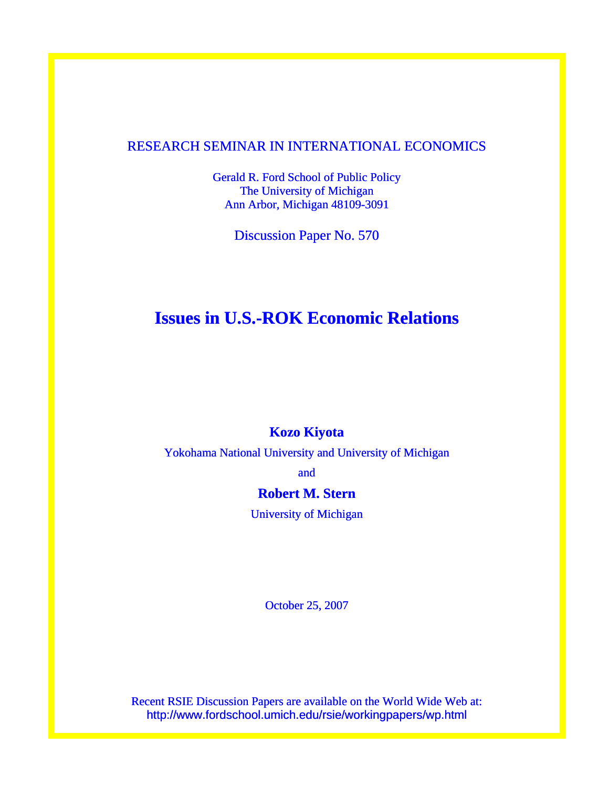# RESEARCH SEMINAR IN INTERNATIONAL ECONOMICS

Gerald R. Ford School of Public Policy The University of Michigan Ann Arbor, Michigan 48109-3091

Discussion Paper No. 570

# **Issues in U.S.-ROK Economic Relations**

# **Kozo Kiyota**

Yokohama National University and University of Michigan

and

# **Robert M. Stern**

University of Michigan

October 25, 2007

Recent RSIE Discussion Papers are available on the World Wide Web at: http://www.fordschool.umich.edu/rsie/workingpapers/wp.html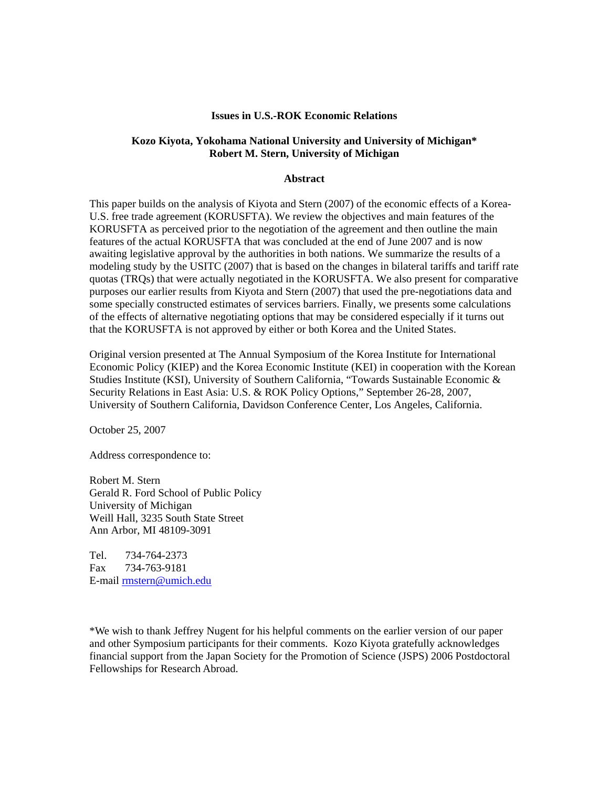#### **Issues in U.S.-ROK Economic Relations**

### **Kozo Kiyota, Yokohama National University and University of Michigan\* Robert M. Stern, University of Michigan**

#### **Abstract**

This paper builds on the analysis of Kiyota and Stern (2007) of the economic effects of a Korea-U.S. free trade agreement (KORUSFTA). We review the objectives and main features of the KORUSFTA as perceived prior to the negotiation of the agreement and then outline the main features of the actual KORUSFTA that was concluded at the end of June 2007 and is now awaiting legislative approval by the authorities in both nations. We summarize the results of a modeling study by the USITC (2007) that is based on the changes in bilateral tariffs and tariff rate quotas (TRQs) that were actually negotiated in the KORUSFTA. We also present for comparative purposes our earlier results from Kiyota and Stern (2007) that used the pre-negotiations data and some specially constructed estimates of services barriers. Finally, we presents some calculations of the effects of alternative negotiating options that may be considered especially if it turns out that the KORUSFTA is not approved by either or both Korea and the United States.

Original version presented at The Annual Symposium of the Korea Institute for International Economic Policy (KIEP) and the Korea Economic Institute (KEI) in cooperation with the Korean Studies Institute (KSI), University of Southern California, "Towards Sustainable Economic & Security Relations in East Asia: U.S. & ROK Policy Options," September 26-28, 2007, University of Southern California, Davidson Conference Center, Los Angeles, California.

October 25, 2007

Address correspondence to:

Robert M. Stern Gerald R. Ford School of Public Policy University of Michigan Weill Hall, 3235 South State Street Ann Arbor, MI 48109-3091

Tel. 734-764-2373 Fax 734-763-9181 E-mail [rmstern@umich.edu](mailto:rmstern@umich.edu)

\*We wish to thank Jeffrey Nugent for his helpful comments on the earlier version of our paper and other Symposium participants for their comments. Kozo Kiyota gratefully acknowledges financial support from the Japan Society for the Promotion of Science (JSPS) 2006 Postdoctoral Fellowships for Research Abroad.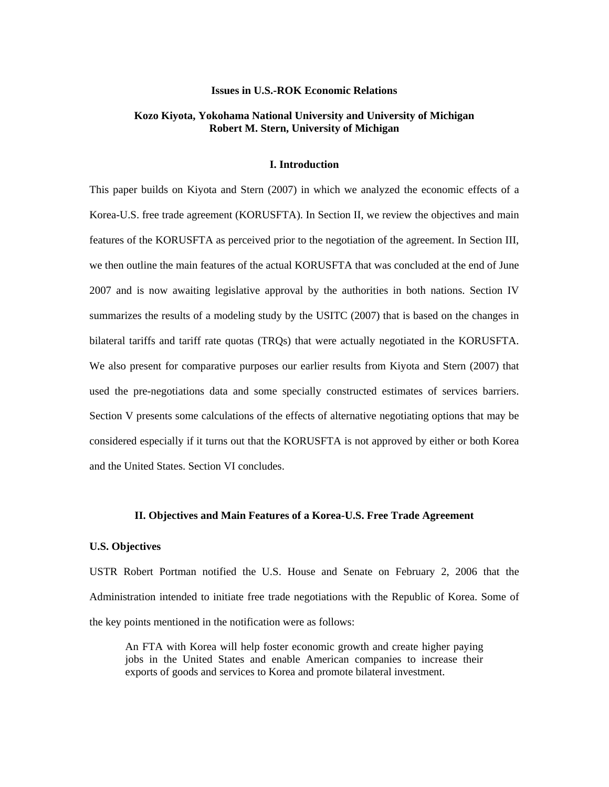#### **Issues in U.S.-ROK Economic Relations**

## **Kozo Kiyota, Yokohama National University and University of Michigan Robert M. Stern, University of Michigan**

#### **I. Introduction**

This paper builds on Kiyota and Stern (2007) in which we analyzed the economic effects of a Korea-U.S. free trade agreement (KORUSFTA). In Section II, we review the objectives and main features of the KORUSFTA as perceived prior to the negotiation of the agreement. In Section III, we then outline the main features of the actual KORUSFTA that was concluded at the end of June 2007 and is now awaiting legislative approval by the authorities in both nations. Section IV summarizes the results of a modeling study by the USITC (2007) that is based on the changes in bilateral tariffs and tariff rate quotas (TRQs) that were actually negotiated in the KORUSFTA. We also present for comparative purposes our earlier results from Kiyota and Stern (2007) that used the pre-negotiations data and some specially constructed estimates of services barriers. Section V presents some calculations of the effects of alternative negotiating options that may be considered especially if it turns out that the KORUSFTA is not approved by either or both Korea and the United States. Section VI concludes.

#### **II. Objectives and Main Features of a Korea-U.S. Free Trade Agreement**

#### **U.S. Objectives**

USTR Robert Portman notified the U.S. House and Senate on February 2, 2006 that the Administration intended to initiate free trade negotiations with the Republic of Korea. Some of the key points mentioned in the notification were as follows:

An FTA with Korea will help foster economic growth and create higher paying jobs in the United States and enable American companies to increase their exports of goods and services to Korea and promote bilateral investment.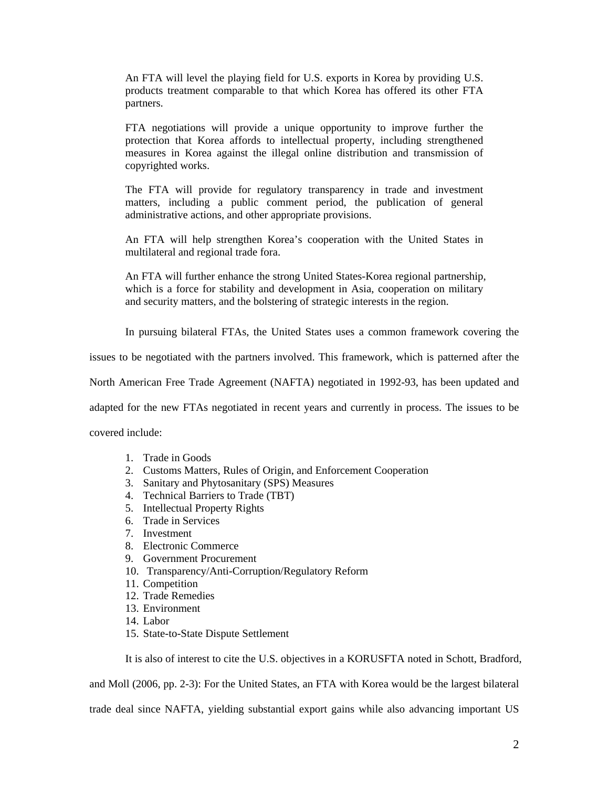An FTA will level the playing field for U.S. exports in Korea by providing U.S. products treatment comparable to that which Korea has offered its other FTA partners.

FTA negotiations will provide a unique opportunity to improve further the protection that Korea affords to intellectual property, including strengthened measures in Korea against the illegal online distribution and transmission of copyrighted works.

The FTA will provide for regulatory transparency in trade and investment matters, including a public comment period, the publication of general administrative actions, and other appropriate provisions.

An FTA will help strengthen Korea's cooperation with the United States in multilateral and regional trade fora.

An FTA will further enhance the strong United States-Korea regional partnership, which is a force for stability and development in Asia, cooperation on military and security matters, and the bolstering of strategic interests in the region.

In pursuing bilateral FTAs, the United States uses a common framework covering the

issues to be negotiated with the partners involved. This framework, which is patterned after the

North American Free Trade Agreement (NAFTA) negotiated in 1992-93, has been updated and

adapted for the new FTAs negotiated in recent years and currently in process. The issues to be

covered include:

- 1. Trade in Goods
- 2. Customs Matters, Rules of Origin, and Enforcement Cooperation
- 3. Sanitary and Phytosanitary (SPS) Measures
- 4. Technical Barriers to Trade (TBT)
- 5. Intellectual Property Rights
- 6. Trade in Services
- 7. Investment
- 8. Electronic Commerce
- 9. Government Procurement
- 10. Transparency/Anti-Corruption/Regulatory Reform
- 11. Competition
- 12. Trade Remedies
- 13. Environment
- 14. Labor
- 15. State-to-State Dispute Settlement

It is also of interest to cite the U.S. objectives in a KORUSFTA noted in Schott, Bradford,

and Moll (2006, pp. 2-3): For the United States, an FTA with Korea would be the largest bilateral

trade deal since NAFTA, yielding substantial export gains while also advancing important US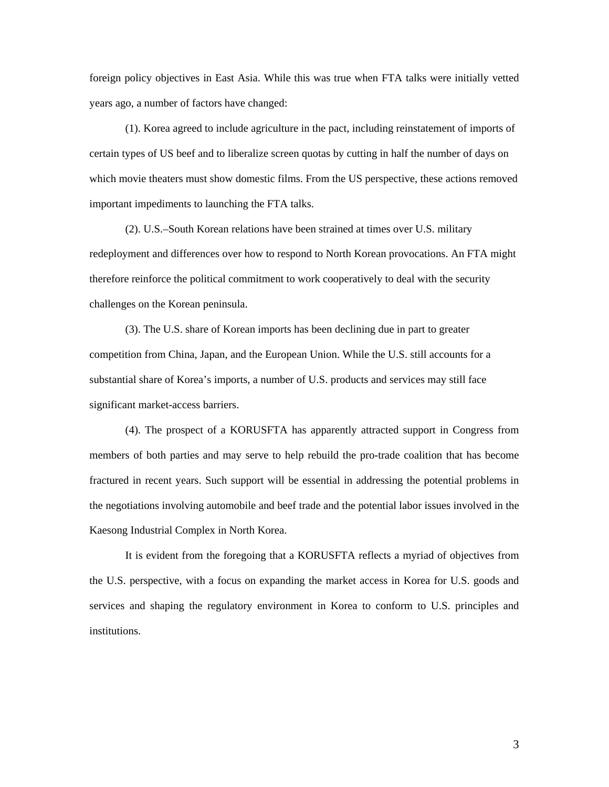foreign policy objectives in East Asia. While this was true when FTA talks were initially vetted years ago, a number of factors have changed:

(1). Korea agreed to include agriculture in the pact, including reinstatement of imports of certain types of US beef and to liberalize screen quotas by cutting in half the number of days on which movie theaters must show domestic films. From the US perspective, these actions removed important impediments to launching the FTA talks.

(2). U.S.–South Korean relations have been strained at times over U.S. military redeployment and differences over how to respond to North Korean provocations. An FTA might therefore reinforce the political commitment to work cooperatively to deal with the security challenges on the Korean peninsula.

(3). The U.S. share of Korean imports has been declining due in part to greater competition from China, Japan, and the European Union. While the U.S. still accounts for a substantial share of Korea's imports, a number of U.S. products and services may still face significant market-access barriers.

(4). The prospect of a KORUSFTA has apparently attracted support in Congress from members of both parties and may serve to help rebuild the pro-trade coalition that has become fractured in recent years. Such support will be essential in addressing the potential problems in the negotiations involving automobile and beef trade and the potential labor issues involved in the Kaesong Industrial Complex in North Korea.

It is evident from the foregoing that a KORUSFTA reflects a myriad of objectives from the U.S. perspective, with a focus on expanding the market access in Korea for U.S. goods and services and shaping the regulatory environment in Korea to conform to U.S. principles and institutions.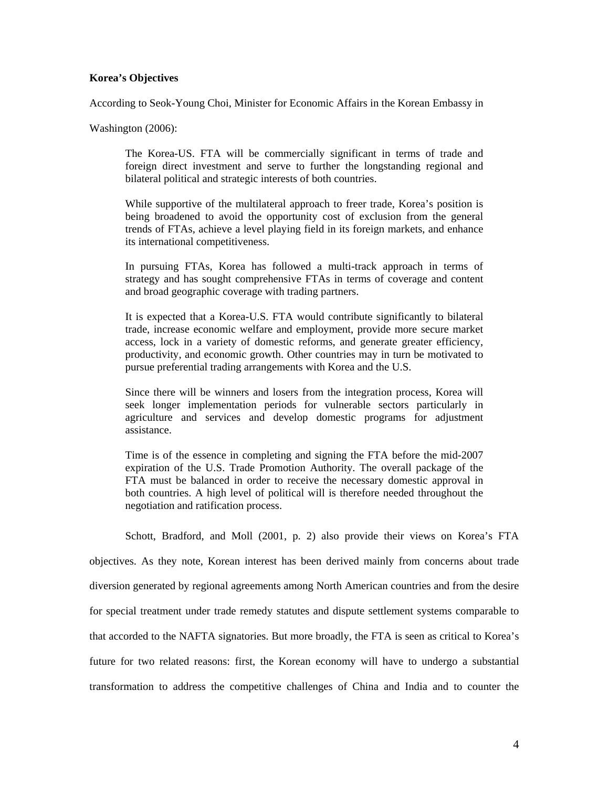#### **Korea's Objectives**

According to Seok-Young Choi, Minister for Economic Affairs in the Korean Embassy in

Washington (2006):

The Korea-US. FTA will be commercially significant in terms of trade and foreign direct investment and serve to further the longstanding regional and bilateral political and strategic interests of both countries.

While supportive of the multilateral approach to freer trade, Korea's position is being broadened to avoid the opportunity cost of exclusion from the general trends of FTAs, achieve a level playing field in its foreign markets, and enhance its international competitiveness.

In pursuing FTAs, Korea has followed a multi-track approach in terms of strategy and has sought comprehensive FTAs in terms of coverage and content and broad geographic coverage with trading partners.

It is expected that a Korea-U.S. FTA would contribute significantly to bilateral trade, increase economic welfare and employment, provide more secure market access, lock in a variety of domestic reforms, and generate greater efficiency, productivity, and economic growth. Other countries may in turn be motivated to pursue preferential trading arrangements with Korea and the U.S.

Since there will be winners and losers from the integration process, Korea will seek longer implementation periods for vulnerable sectors particularly in agriculture and services and develop domestic programs for adjustment assistance.

Time is of the essence in completing and signing the FTA before the mid-2007 expiration of the U.S. Trade Promotion Authority. The overall package of the FTA must be balanced in order to receive the necessary domestic approval in both countries. A high level of political will is therefore needed throughout the negotiation and ratification process.

Schott, Bradford, and Moll (2001, p. 2) also provide their views on Korea's FTA objectives. As they note, Korean interest has been derived mainly from concerns about trade diversion generated by regional agreements among North American countries and from the desire for special treatment under trade remedy statutes and dispute settlement systems comparable to that accorded to the NAFTA signatories. But more broadly, the FTA is seen as critical to Korea's future for two related reasons: first, the Korean economy will have to undergo a substantial transformation to address the competitive challenges of China and India and to counter the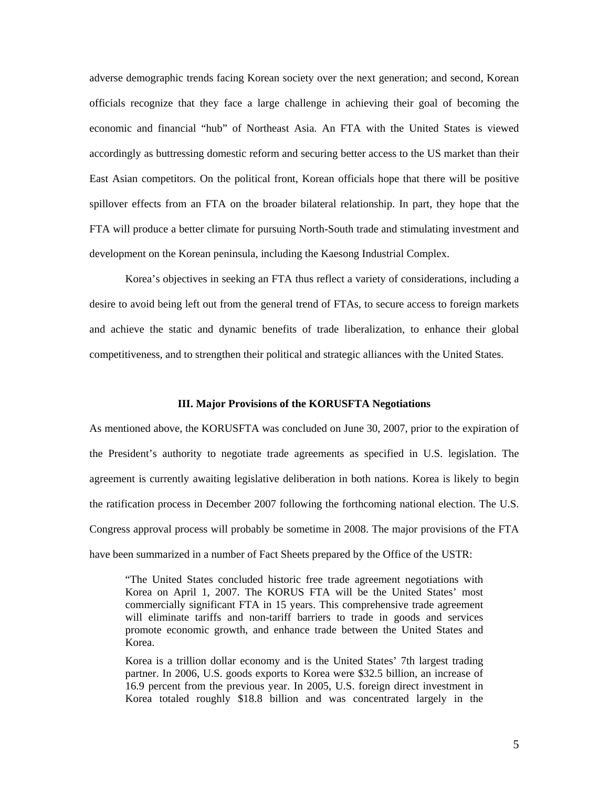adverse demographic trends facing Korean society over the next generation; and second, Korean officials recognize that they face a large challenge in achieving their goal of becoming the economic and financial "hub" of Northeast Asia. An FTA with the United States is viewed accordingly as buttressing domestic reform and securing better access to the US market than their East Asian competitors. On the political front, Korean officials hope that there will be positive spillover effects from an FTA on the broader bilateral relationship. In part, they hope that the FTA will produce a better climate for pursuing North-South trade and stimulating investment and development on the Korean peninsula, including the Kaesong Industrial Complex.

 Korea's objectives in seeking an FTA thus reflect a variety of considerations, including a desire to avoid being left out from the general trend of FTAs, to secure access to foreign markets and achieve the static and dynamic benefits of trade liberalization, to enhance their global competitiveness, and to strengthen their political and strategic alliances with the United States.

#### **III. Major Provisions of the KORUSFTA Negotiations**

As mentioned above, the KORUSFTA was concluded on June 30, 2007, prior to the expiration of the President's authority to negotiate trade agreements as specified in U.S. legislation. The agreement is currently awaiting legislative deliberation in both nations. Korea is likely to begin the ratification process in December 2007 following the forthcoming national election. The U.S. Congress approval process will probably be sometime in 2008. The major provisions of the FTA have been summarized in a number of Fact Sheets prepared by the Office of the USTR:

"The United States concluded historic free trade agreement negotiations with Korea on April 1, 2007. The KORUS FTA will be the United States' most commercially significant FTA in 15 years. This comprehensive trade agreement will eliminate tariffs and non-tariff barriers to trade in goods and services promote economic growth, and enhance trade between the United States and Korea.

Korea is a trillion dollar economy and is the United States' 7th largest trading partner. In 2006, U.S. goods exports to Korea were \$32.5 billion, an increase of 16.9 percent from the previous year. In 2005, U.S. foreign direct investment in Korea totaled roughly \$18.8 billion and was concentrated largely in the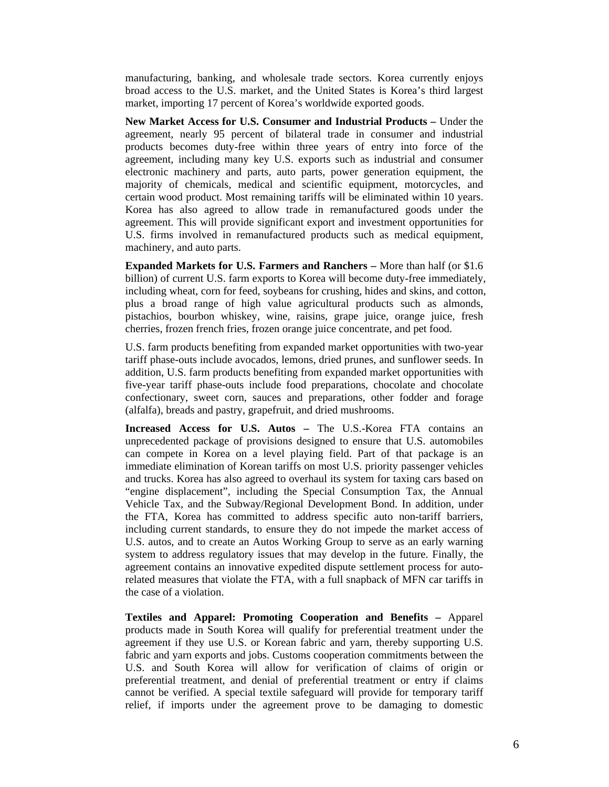manufacturing, banking, and wholesale trade sectors. Korea currently enjoys broad access to the U.S. market, and the United States is Korea's third largest market, importing 17 percent of Korea's worldwide exported goods.

**New Market Access for U.S. Consumer and Industrial Products –** Under the agreement, nearly 95 percent of bilateral trade in consumer and industrial products becomes duty-free within three years of entry into force of the agreement, including many key U.S. exports such as industrial and consumer electronic machinery and parts, auto parts, power generation equipment, the majority of chemicals, medical and scientific equipment, motorcycles, and certain wood product. Most remaining tariffs will be eliminated within 10 years. Korea has also agreed to allow trade in remanufactured goods under the agreement. This will provide significant export and investment opportunities for U.S. firms involved in remanufactured products such as medical equipment, machinery, and auto parts.

**Expanded Markets for U.S. Farmers and Ranchers –** More than half (or \$1.6 billion) of current U.S. farm exports to Korea will become duty-free immediately, including wheat, corn for feed, soybeans for crushing, hides and skins, and cotton, plus a broad range of high value agricultural products such as almonds, pistachios, bourbon whiskey, wine, raisins, grape juice, orange juice, fresh cherries, frozen french fries, frozen orange juice concentrate, and pet food.

U.S. farm products benefiting from expanded market opportunities with two-year tariff phase-outs include avocados, lemons, dried prunes, and sunflower seeds. In addition, U.S. farm products benefiting from expanded market opportunities with five-year tariff phase-outs include food preparations, chocolate and chocolate confectionary, sweet corn, sauces and preparations, other fodder and forage (alfalfa), breads and pastry, grapefruit, and dried mushrooms.

**Increased Access for U.S. Autos –** The U.S.-Korea FTA contains an unprecedented package of provisions designed to ensure that U.S. automobiles can compete in Korea on a level playing field. Part of that package is an immediate elimination of Korean tariffs on most U.S. priority passenger vehicles and trucks. Korea has also agreed to overhaul its system for taxing cars based on "engine displacement", including the Special Consumption Tax, the Annual Vehicle Tax, and the Subway/Regional Development Bond. In addition, under the FTA, Korea has committed to address specific auto non-tariff barriers, including current standards, to ensure they do not impede the market access of U.S. autos, and to create an Autos Working Group to serve as an early warning system to address regulatory issues that may develop in the future. Finally, the agreement contains an innovative expedited dispute settlement process for autorelated measures that violate the FTA, with a full snapback of MFN car tariffs in the case of a violation.

**Textiles and Apparel: Promoting Cooperation and Benefits –** Apparel products made in South Korea will qualify for preferential treatment under the agreement if they use U.S. or Korean fabric and yarn, thereby supporting U.S. fabric and yarn exports and jobs. Customs cooperation commitments between the U.S. and South Korea will allow for verification of claims of origin or preferential treatment, and denial of preferential treatment or entry if claims cannot be verified. A special textile safeguard will provide for temporary tariff relief, if imports under the agreement prove to be damaging to domestic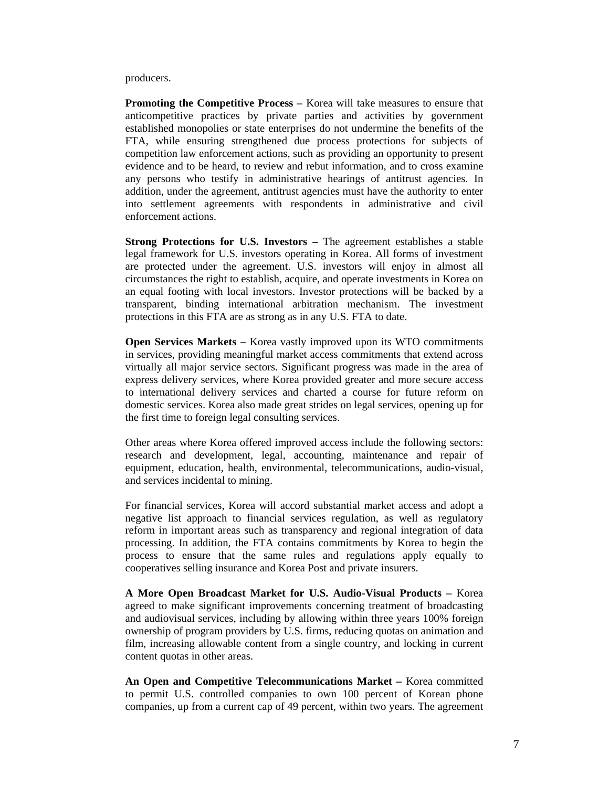producers.

**Promoting the Competitive Process – Korea will take measures to ensure that** anticompetitive practices by private parties and activities by government established monopolies or state enterprises do not undermine the benefits of the FTA, while ensuring strengthened due process protections for subjects of competition law enforcement actions, such as providing an opportunity to present evidence and to be heard, to review and rebut information, and to cross examine any persons who testify in administrative hearings of antitrust agencies. In addition, under the agreement, antitrust agencies must have the authority to enter into settlement agreements with respondents in administrative and civil enforcement actions.

**Strong Protections for U.S. Investors –** The agreement establishes a stable legal framework for U.S. investors operating in Korea. All forms of investment are protected under the agreement. U.S. investors will enjoy in almost all circumstances the right to establish, acquire, and operate investments in Korea on an equal footing with local investors. Investor protections will be backed by a transparent, binding international arbitration mechanism. The investment protections in this FTA are as strong as in any U.S. FTA to date.

**Open Services Markets –** Korea vastly improved upon its WTO commitments in services, providing meaningful market access commitments that extend across virtually all major service sectors. Significant progress was made in the area of express delivery services, where Korea provided greater and more secure access to international delivery services and charted a course for future reform on domestic services. Korea also made great strides on legal services, opening up for the first time to foreign legal consulting services.

Other areas where Korea offered improved access include the following sectors: research and development, legal, accounting, maintenance and repair of equipment, education, health, environmental, telecommunications, audio-visual, and services incidental to mining.

For financial services, Korea will accord substantial market access and adopt a negative list approach to financial services regulation, as well as regulatory reform in important areas such as transparency and regional integration of data processing. In addition, the FTA contains commitments by Korea to begin the process to ensure that the same rules and regulations apply equally to cooperatives selling insurance and Korea Post and private insurers.

**A More Open Broadcast Market for U.S. Audio-Visual Products –** Korea agreed to make significant improvements concerning treatment of broadcasting and audiovisual services, including by allowing within three years 100% foreign ownership of program providers by U.S. firms, reducing quotas on animation and film, increasing allowable content from a single country, and locking in current content quotas in other areas.

**An Open and Competitive Telecommunications Market –** Korea committed to permit U.S. controlled companies to own 100 percent of Korean phone companies, up from a current cap of 49 percent, within two years. The agreement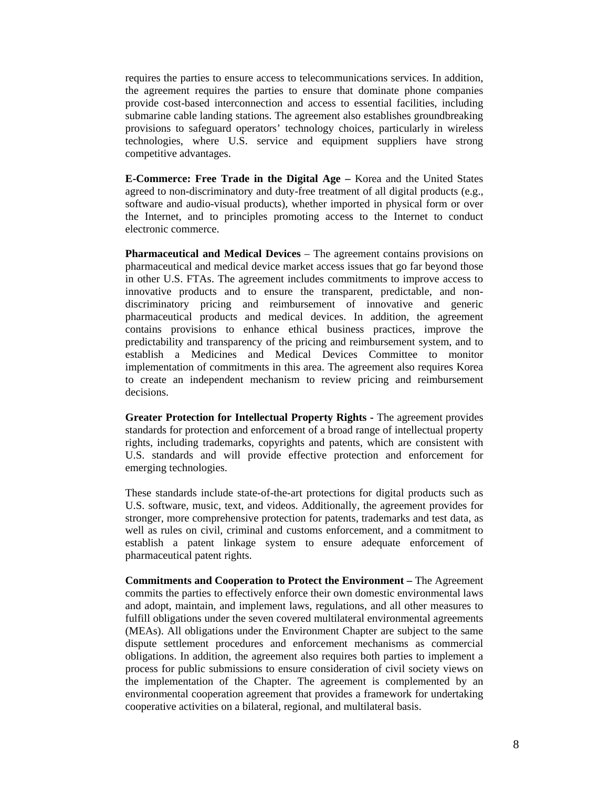requires the parties to ensure access to telecommunications services. In addition, the agreement requires the parties to ensure that dominate phone companies provide cost-based interconnection and access to essential facilities, including submarine cable landing stations. The agreement also establishes groundbreaking provisions to safeguard operators' technology choices, particularly in wireless technologies, where U.S. service and equipment suppliers have strong competitive advantages.

**E-Commerce: Free Trade in the Digital Age –** Korea and the United States agreed to non-discriminatory and duty-free treatment of all digital products (e.g., software and audio-visual products), whether imported in physical form or over the Internet, and to principles promoting access to the Internet to conduct electronic commerce.

**Pharmaceutical and Medical Devices** – The agreement contains provisions on pharmaceutical and medical device market access issues that go far beyond those in other U.S. FTAs. The agreement includes commitments to improve access to innovative products and to ensure the transparent, predictable, and nondiscriminatory pricing and reimbursement of innovative and generic pharmaceutical products and medical devices. In addition, the agreement contains provisions to enhance ethical business practices, improve the predictability and transparency of the pricing and reimbursement system, and to establish a Medicines and Medical Devices Committee to monitor implementation of commitments in this area. The agreement also requires Korea to create an independent mechanism to review pricing and reimbursement decisions.

**Greater Protection for Intellectual Property Rights -** The agreement provides standards for protection and enforcement of a broad range of intellectual property rights, including trademarks, copyrights and patents, which are consistent with U.S. standards and will provide effective protection and enforcement for emerging technologies.

These standards include state-of-the-art protections for digital products such as U.S. software, music, text, and videos. Additionally, the agreement provides for stronger, more comprehensive protection for patents, trademarks and test data, as well as rules on civil, criminal and customs enforcement, and a commitment to establish a patent linkage system to ensure adequate enforcement of pharmaceutical patent rights.

**Commitments and Cooperation to Protect the Environment –** The Agreement commits the parties to effectively enforce their own domestic environmental laws and adopt, maintain, and implement laws, regulations, and all other measures to fulfill obligations under the seven covered multilateral environmental agreements (MEAs). All obligations under the Environment Chapter are subject to the same dispute settlement procedures and enforcement mechanisms as commercial obligations. In addition, the agreement also requires both parties to implement a process for public submissions to ensure consideration of civil society views on the implementation of the Chapter. The agreement is complemented by an environmental cooperation agreement that provides a framework for undertaking cooperative activities on a bilateral, regional, and multilateral basis.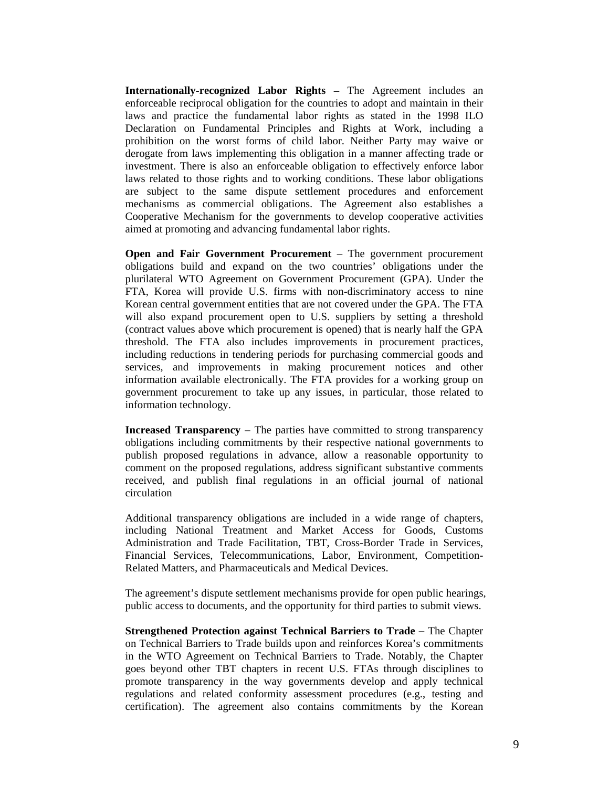**Internationally-recognized Labor Rights –** The Agreement includes an enforceable reciprocal obligation for the countries to adopt and maintain in their laws and practice the fundamental labor rights as stated in the 1998 ILO Declaration on Fundamental Principles and Rights at Work, including a prohibition on the worst forms of child labor. Neither Party may waive or derogate from laws implementing this obligation in a manner affecting trade or investment. There is also an enforceable obligation to effectively enforce labor laws related to those rights and to working conditions. These labor obligations are subject to the same dispute settlement procedures and enforcement mechanisms as commercial obligations. The Agreement also establishes a Cooperative Mechanism for the governments to develop cooperative activities aimed at promoting and advancing fundamental labor rights.

**Open and Fair Government Procurement** – The government procurement obligations build and expand on the two countries' obligations under the plurilateral WTO Agreement on Government Procurement (GPA). Under the FTA, Korea will provide U.S. firms with non-discriminatory access to nine Korean central government entities that are not covered under the GPA. The FTA will also expand procurement open to U.S. suppliers by setting a threshold (contract values above which procurement is opened) that is nearly half the GPA threshold. The FTA also includes improvements in procurement practices, including reductions in tendering periods for purchasing commercial goods and services, and improvements in making procurement notices and other information available electronically. The FTA provides for a working group on government procurement to take up any issues, in particular, those related to information technology.

**Increased Transparency – The parties have committed to strong transparency** obligations including commitments by their respective national governments to publish proposed regulations in advance, allow a reasonable opportunity to comment on the proposed regulations, address significant substantive comments received, and publish final regulations in an official journal of national circulation

Additional transparency obligations are included in a wide range of chapters, including National Treatment and Market Access for Goods, Customs Administration and Trade Facilitation, TBT, Cross-Border Trade in Services, Financial Services, Telecommunications, Labor, Environment, Competition-Related Matters, and Pharmaceuticals and Medical Devices.

The agreement's dispute settlement mechanisms provide for open public hearings, public access to documents, and the opportunity for third parties to submit views.

**Strengthened Protection against Technical Barriers to Trade –** The Chapter on Technical Barriers to Trade builds upon and reinforces Korea's commitments in the WTO Agreement on Technical Barriers to Trade. Notably, the Chapter goes beyond other TBT chapters in recent U.S. FTAs through disciplines to promote transparency in the way governments develop and apply technical regulations and related conformity assessment procedures (e.g., testing and certification). The agreement also contains commitments by the Korean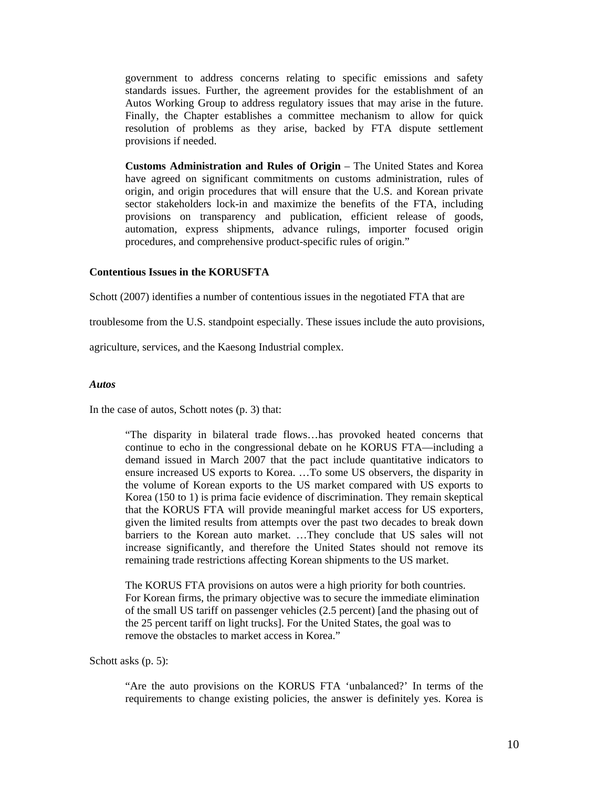government to address concerns relating to specific emissions and safety standards issues. Further, the agreement provides for the establishment of an Autos Working Group to address regulatory issues that may arise in the future. Finally, the Chapter establishes a committee mechanism to allow for quick resolution of problems as they arise, backed by FTA dispute settlement provisions if needed.

**Customs Administration and Rules of Origin** – The United States and Korea have agreed on significant commitments on customs administration, rules of origin, and origin procedures that will ensure that the U.S. and Korean private sector stakeholders lock-in and maximize the benefits of the FTA, including provisions on transparency and publication, efficient release of goods, automation, express shipments, advance rulings, importer focused origin procedures, and comprehensive product-specific rules of origin."

#### **Contentious Issues in the KORUSFTA**

Schott (2007) identifies a number of contentious issues in the negotiated FTA that are

troublesome from the U.S. standpoint especially. These issues include the auto provisions,

agriculture, services, and the Kaesong Industrial complex.

#### *Autos*

In the case of autos, Schott notes (p. 3) that:

"The disparity in bilateral trade flows…has provoked heated concerns that continue to echo in the congressional debate on he KORUS FTA—including a demand issued in March 2007 that the pact include quantitative indicators to ensure increased US exports to Korea. …To some US observers, the disparity in the volume of Korean exports to the US market compared with US exports to Korea (150 to 1) is prima facie evidence of discrimination. They remain skeptical that the KORUS FTA will provide meaningful market access for US exporters, given the limited results from attempts over the past two decades to break down barriers to the Korean auto market. …They conclude that US sales will not increase significantly, and therefore the United States should not remove its remaining trade restrictions affecting Korean shipments to the US market.

The KORUS FTA provisions on autos were a high priority for both countries. For Korean firms, the primary objective was to secure the immediate elimination of the small US tariff on passenger vehicles (2.5 percent) [and the phasing out of the 25 percent tariff on light trucks]. For the United States, the goal was to remove the obstacles to market access in Korea."

Schott asks (p. 5):

"Are the auto provisions on the KORUS FTA 'unbalanced?' In terms of the requirements to change existing policies, the answer is definitely yes. Korea is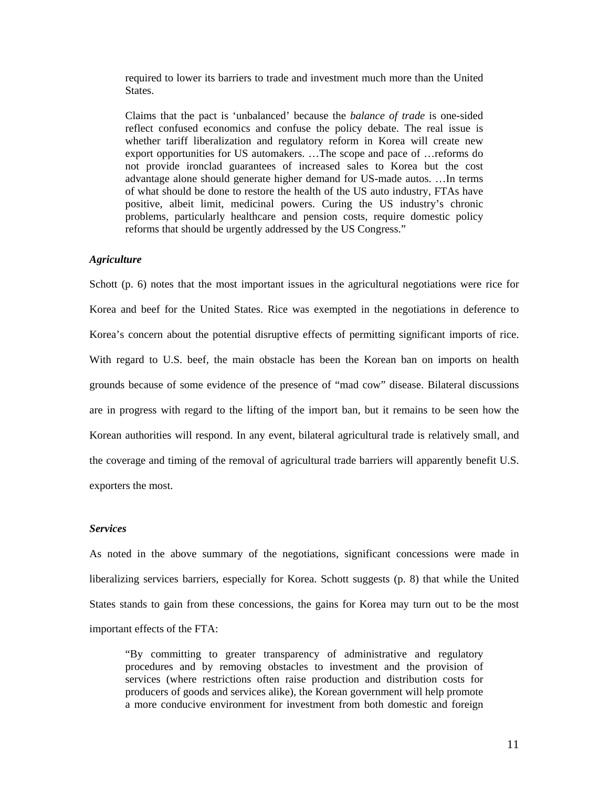required to lower its barriers to trade and investment much more than the United **States** 

Claims that the pact is 'unbalanced' because the *balance of trade* is one-sided reflect confused economics and confuse the policy debate. The real issue is whether tariff liberalization and regulatory reform in Korea will create new export opportunities for US automakers. …The scope and pace of …reforms do not provide ironclad guarantees of increased sales to Korea but the cost advantage alone should generate higher demand for US-made autos. …In terms of what should be done to restore the health of the US auto industry, FTAs have positive, albeit limit, medicinal powers. Curing the US industry's chronic problems, particularly healthcare and pension costs, require domestic policy reforms that should be urgently addressed by the US Congress."

#### *Agriculture*

Schott (p. 6) notes that the most important issues in the agricultural negotiations were rice for Korea and beef for the United States. Rice was exempted in the negotiations in deference to Korea's concern about the potential disruptive effects of permitting significant imports of rice. With regard to U.S. beef, the main obstacle has been the Korean ban on imports on health grounds because of some evidence of the presence of "mad cow" disease. Bilateral discussions are in progress with regard to the lifting of the import ban, but it remains to be seen how the Korean authorities will respond. In any event, bilateral agricultural trade is relatively small, and the coverage and timing of the removal of agricultural trade barriers will apparently benefit U.S. exporters the most.

#### *Services*

As noted in the above summary of the negotiations, significant concessions were made in liberalizing services barriers, especially for Korea. Schott suggests (p. 8) that while the United States stands to gain from these concessions, the gains for Korea may turn out to be the most important effects of the FTA:

"By committing to greater transparency of administrative and regulatory procedures and by removing obstacles to investment and the provision of services (where restrictions often raise production and distribution costs for producers of goods and services alike), the Korean government will help promote a more conducive environment for investment from both domestic and foreign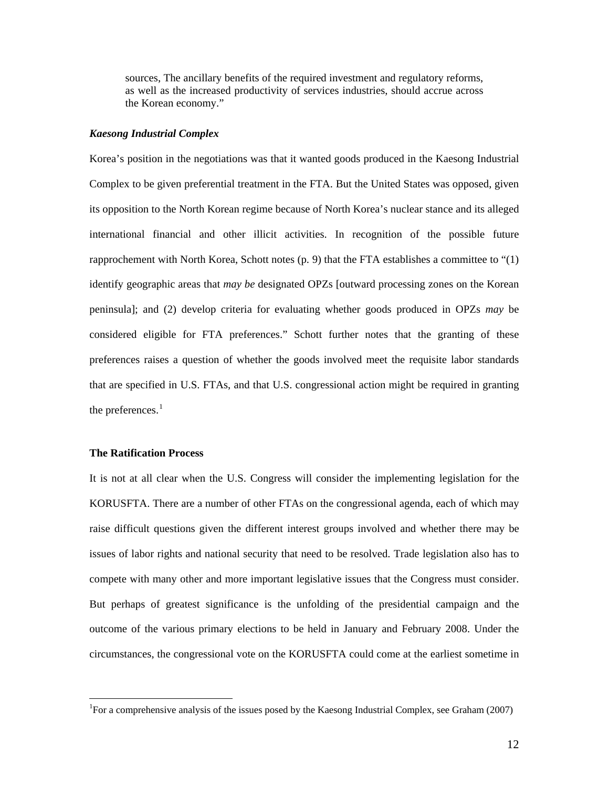sources, The ancillary benefits of the required investment and regulatory reforms, as well as the increased productivity of services industries, should accrue across the Korean economy."

#### *Kaesong Industrial Complex*

Korea's position in the negotiations was that it wanted goods produced in the Kaesong Industrial Complex to be given preferential treatment in the FTA. But the United States was opposed, given its opposition to the North Korean regime because of North Korea's nuclear stance and its alleged international financial and other illicit activities. In recognition of the possible future rapprochement with North Korea, Schott notes  $(p, 9)$  that the FTA establishes a committee to " $(1)$ " identify geographic areas that *may be* designated OPZs [outward processing zones on the Korean peninsula]; and (2) develop criteria for evaluating whether goods produced in OPZs *may* be considered eligible for FTA preferences." Schott further notes that the granting of these preferences raises a question of whether the goods involved meet the requisite labor standards that are specified in U.S. FTAs, and that U.S. congressional action might be required in granting the preferences. $<sup>1</sup>$  $<sup>1</sup>$  $<sup>1</sup>$ </sup>

### **The Ratification Process**

 $\overline{a}$ 

It is not at all clear when the U.S. Congress will consider the implementing legislation for the KORUSFTA. There are a number of other FTAs on the congressional agenda, each of which may raise difficult questions given the different interest groups involved and whether there may be issues of labor rights and national security that need to be resolved. Trade legislation also has to compete with many other and more important legislative issues that the Congress must consider. But perhaps of greatest significance is the unfolding of the presidential campaign and the outcome of the various primary elections to be held in January and February 2008. Under the circumstances, the congressional vote on the KORUSFTA could come at the earliest sometime in

<span id="page-13-0"></span><sup>&</sup>lt;sup>1</sup>For a comprehensive analysis of the issues posed by the Kaesong Industrial Complex, see Graham (2007)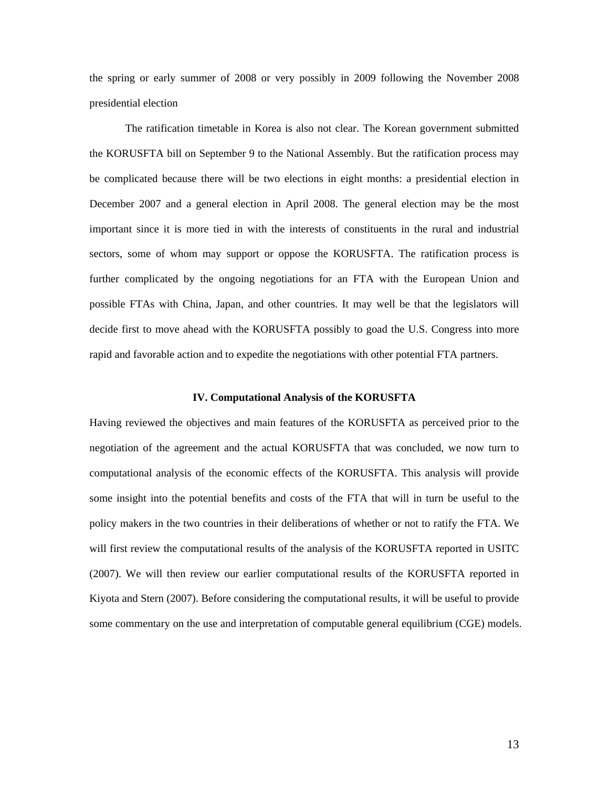the spring or early summer of 2008 or very possibly in 2009 following the November 2008 presidential election

The ratification timetable in Korea is also not clear. The Korean government submitted the KORUSFTA bill on September 9 to the National Assembly. But the ratification process may be complicated because there will be two elections in eight months: a presidential election in December 2007 and a general election in April 2008. The general election may be the most important since it is more tied in with the interests of constituents in the rural and industrial sectors, some of whom may support or oppose the KORUSFTA. The ratification process is further complicated by the ongoing negotiations for an FTA with the European Union and possible FTAs with China, Japan, and other countries. It may well be that the legislators will decide first to move ahead with the KORUSFTA possibly to goad the U.S. Congress into more rapid and favorable action and to expedite the negotiations with other potential FTA partners.

#### **IV. Computational Analysis of the KORUSFTA**

Having reviewed the objectives and main features of the KORUSFTA as perceived prior to the negotiation of the agreement and the actual KORUSFTA that was concluded, we now turn to computational analysis of the economic effects of the KORUSFTA. This analysis will provide some insight into the potential benefits and costs of the FTA that will in turn be useful to the policy makers in the two countries in their deliberations of whether or not to ratify the FTA. We will first review the computational results of the analysis of the KORUSFTA reported in USITC (2007). We will then review our earlier computational results of the KORUSFTA reported in Kiyota and Stern (2007). Before considering the computational results, it will be useful to provide some commentary on the use and interpretation of computable general equilibrium (CGE) models.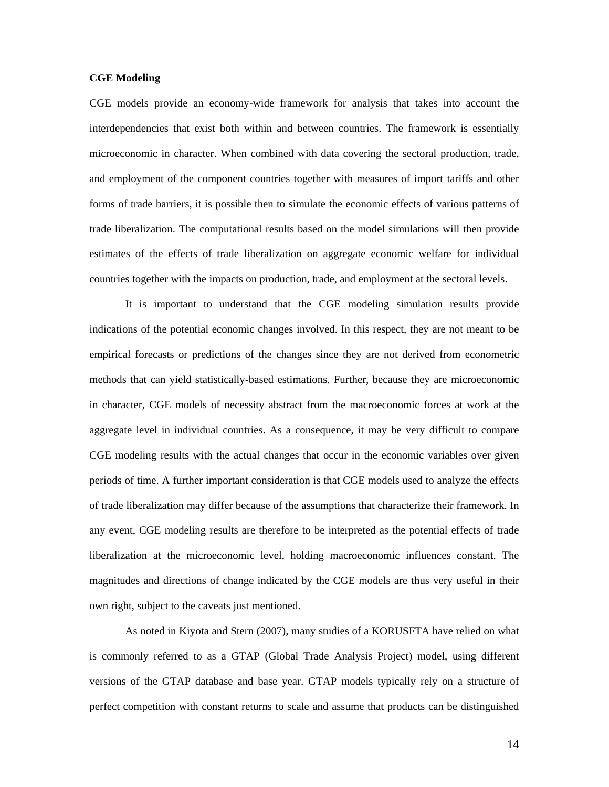#### **CGE Modeling**

CGE models provide an economy-wide framework for analysis that takes into account the interdependencies that exist both within and between countries. The framework is essentially microeconomic in character. When combined with data covering the sectoral production, trade, and employment of the component countries together with measures of import tariffs and other forms of trade barriers, it is possible then to simulate the economic effects of various patterns of trade liberalization. The computational results based on the model simulations will then provide estimates of the effects of trade liberalization on aggregate economic welfare for individual countries together with the impacts on production, trade, and employment at the sectoral levels.

It is important to understand that the CGE modeling simulation results provide indications of the potential economic changes involved. In this respect, they are not meant to be empirical forecasts or predictions of the changes since they are not derived from econometric methods that can yield statistically-based estimations. Further, because they are microeconomic in character, CGE models of necessity abstract from the macroeconomic forces at work at the aggregate level in individual countries. As a consequence, it may be very difficult to compare CGE modeling results with the actual changes that occur in the economic variables over given periods of time. A further important consideration is that CGE models used to analyze the effects of trade liberalization may differ because of the assumptions that characterize their framework. In any event, CGE modeling results are therefore to be interpreted as the potential effects of trade liberalization at the microeconomic level, holding macroeconomic influences constant. The magnitudes and directions of change indicated by the CGE models are thus very useful in their own right, subject to the caveats just mentioned.

As noted in Kiyota and Stern (2007), many studies of a KORUSFTA have relied on what is commonly referred to as a GTAP (Global Trade Analysis Project) model, using different versions of the GTAP database and base year. GTAP models typically rely on a structure of perfect competition with constant returns to scale and assume that products can be distinguished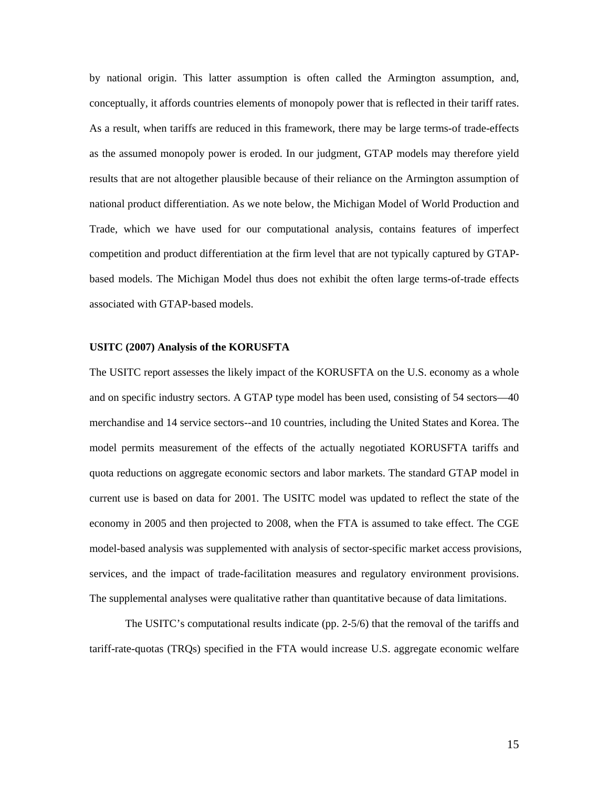by national origin. This latter assumption is often called the Armington assumption, and, conceptually, it affords countries elements of monopoly power that is reflected in their tariff rates. As a result, when tariffs are reduced in this framework, there may be large terms-of trade-effects as the assumed monopoly power is eroded. In our judgment, GTAP models may therefore yield results that are not altogether plausible because of their reliance on the Armington assumption of national product differentiation. As we note below, the Michigan Model of World Production and Trade, which we have used for our computational analysis, contains features of imperfect competition and product differentiation at the firm level that are not typically captured by GTAPbased models. The Michigan Model thus does not exhibit the often large terms-of-trade effects associated with GTAP-based models.

#### **USITC (2007) Analysis of the KORUSFTA**

The USITC report assesses the likely impact of the KORUSFTA on the U.S. economy as a whole and on specific industry sectors. A GTAP type model has been used, consisting of 54 sectors—40 merchandise and 14 service sectors--and 10 countries, including the United States and Korea. The model permits measurement of the effects of the actually negotiated KORUSFTA tariffs and quota reductions on aggregate economic sectors and labor markets. The standard GTAP model in current use is based on data for 2001. The USITC model was updated to reflect the state of the economy in 2005 and then projected to 2008, when the FTA is assumed to take effect. The CGE model-based analysis was supplemented with analysis of sector-specific market access provisions, services, and the impact of trade-facilitation measures and regulatory environment provisions. The supplemental analyses were qualitative rather than quantitative because of data limitations.

The USITC's computational results indicate (pp. 2-5/6) that the removal of the tariffs and tariff-rate-quotas (TRQs) specified in the FTA would increase U.S. aggregate economic welfare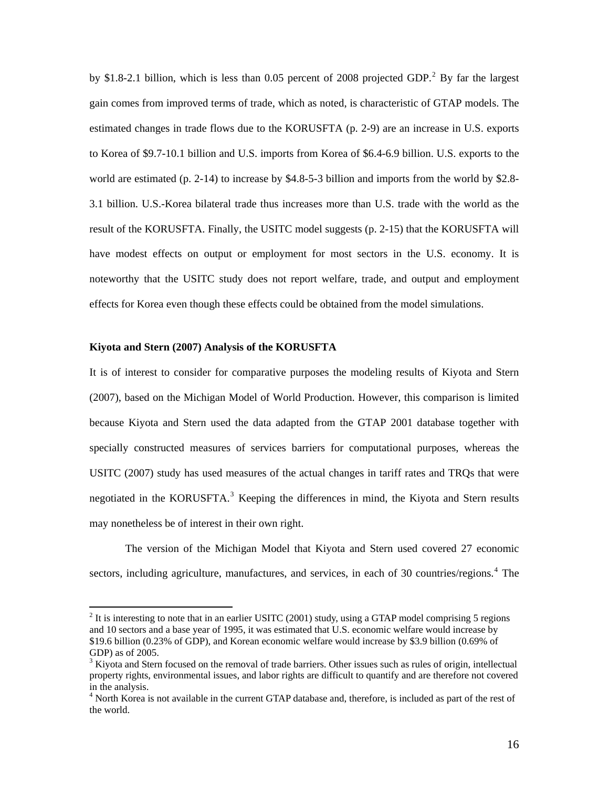by \$1.8-[2](#page-17-0).1 billion, which is less than  $0.05$  percent of 2008 projected GDP.<sup>2</sup> By far the largest gain comes from improved terms of trade, which as noted, is characteristic of GTAP models. The estimated changes in trade flows due to the KORUSFTA (p. 2-9) are an increase in U.S. exports to Korea of \$9.7-10.1 billion and U.S. imports from Korea of \$6.4-6.9 billion. U.S. exports to the world are estimated (p. 2-14) to increase by \$4.8-5-3 billion and imports from the world by \$2.8- 3.1 billion. U.S.-Korea bilateral trade thus increases more than U.S. trade with the world as the result of the KORUSFTA. Finally, the USITC model suggests (p. 2-15) that the KORUSFTA will have modest effects on output or employment for most sectors in the U.S. economy. It is noteworthy that the USITC study does not report welfare, trade, and output and employment effects for Korea even though these effects could be obtained from the model simulations.

#### **Kiyota and Stern (2007) Analysis of the KORUSFTA**

 $\overline{a}$ 

It is of interest to consider for comparative purposes the modeling results of Kiyota and Stern (2007), based on the Michigan Model of World Production. However, this comparison is limited because Kiyota and Stern used the data adapted from the GTAP 2001 database together with specially constructed measures of services barriers for computational purposes, whereas the USITC (2007) study has used measures of the actual changes in tariff rates and TRQs that were negotiated in the KORUSFTA.<sup>[3](#page-17-1)</sup> Keeping the differences in mind, the Kiyota and Stern results may nonetheless be of interest in their own right.

 The version of the Michigan Model that Kiyota and Stern used covered 27 economic sectors, including agriculture, manufactures, and services, in each of 30 countries/regions.<sup>[4](#page-17-2)</sup> The

<span id="page-17-0"></span> $2$  It is interesting to note that in an earlier USITC (2001) study, using a GTAP model comprising 5 regions and 10 sectors and a base year of 1995, it was estimated that U.S. economic welfare would increase by \$19.6 billion (0.23% of GDP), and Korean economic welfare would increase by \$3.9 billion (0.69% of GDP) as of 2005.

<span id="page-17-1"></span> $3$  Kiyota and Stern focused on the removal of trade barriers. Other issues such as rules of origin, intellectual property rights, environmental issues, and labor rights are difficult to quantify and are therefore not covered in the analysis.

<span id="page-17-2"></span><sup>&</sup>lt;sup>4</sup> North Korea is not available in the current GTAP database and, therefore, is included as part of the rest of the world.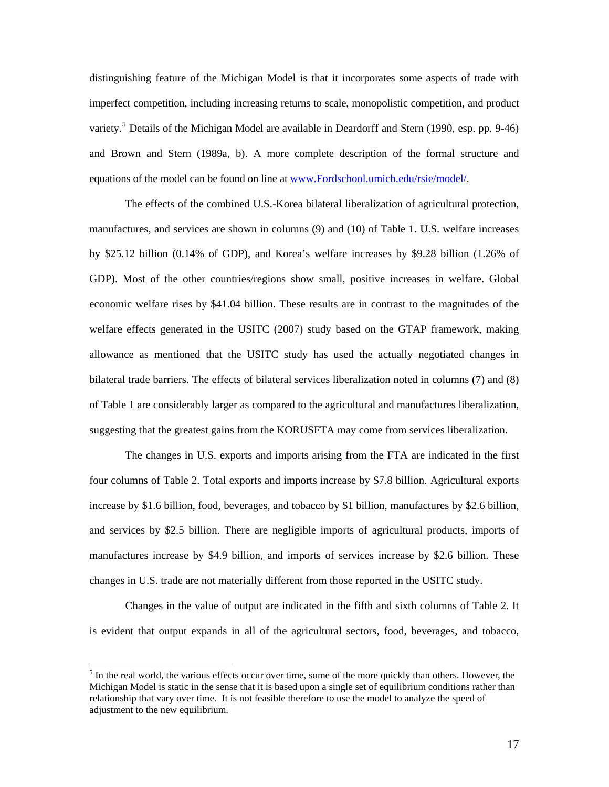distinguishing feature of the Michigan Model is that it incorporates some aspects of trade with imperfect competition, including increasing returns to scale, monopolistic competition, and product variety.<sup>[5](#page-18-0)</sup> Details of the Michigan Model are available in Deardorff and Stern (1990, esp. pp. 9-46) and Brown and Stern (1989a, b). A more complete description of the formal structure and equations of the model can be found on line at [www.Fordschool.umich.edu/rsie/model/](http://www.fordschool.umich.edu/rsie/model/).

The effects of the combined U.S.-Korea bilateral liberalization of agricultural protection, manufactures, and services are shown in columns (9) and (10) of Table 1. U.S. welfare increases by \$25.12 billion (0.14% of GDP), and Korea's welfare increases by \$9.28 billion (1.26% of GDP). Most of the other countries/regions show small, positive increases in welfare. Global economic welfare rises by \$41.04 billion. These results are in contrast to the magnitudes of the welfare effects generated in the USITC (2007) study based on the GTAP framework, making allowance as mentioned that the USITC study has used the actually negotiated changes in bilateral trade barriers. The effects of bilateral services liberalization noted in columns (7) and (8) of Table 1 are considerably larger as compared to the agricultural and manufactures liberalization, suggesting that the greatest gains from the KORUSFTA may come from services liberalization.

The changes in U.S. exports and imports arising from the FTA are indicated in the first four columns of Table 2. Total exports and imports increase by \$7.8 billion. Agricultural exports increase by \$1.6 billion, food, beverages, and tobacco by \$1 billion, manufactures by \$2.6 billion, and services by \$2.5 billion. There are negligible imports of agricultural products, imports of manufactures increase by \$4.9 billion, and imports of services increase by \$2.6 billion. These changes in U.S. trade are not materially different from those reported in the USITC study.

 Changes in the value of output are indicated in the fifth and sixth columns of Table 2. It is evident that output expands in all of the agricultural sectors, food, beverages, and tobacco,

 $\overline{a}$ 

<span id="page-18-0"></span> $<sup>5</sup>$  In the real world, the various effects occur over time, some of the more quickly than others. However, the</sup> Michigan Model is static in the sense that it is based upon a single set of equilibrium conditions rather than relationship that vary over time. It is not feasible therefore to use the model to analyze the speed of adjustment to the new equilibrium.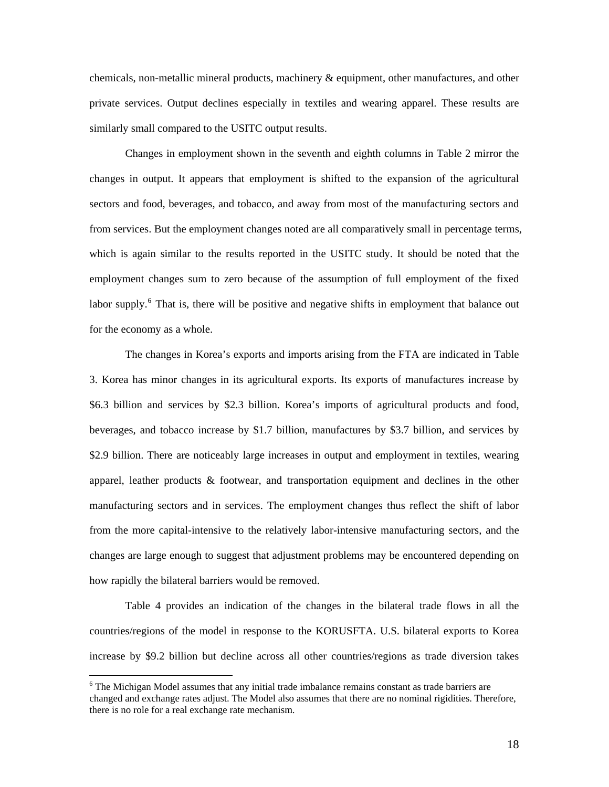chemicals, non-metallic mineral products, machinery & equipment, other manufactures, and other private services. Output declines especially in textiles and wearing apparel. These results are similarly small compared to the USITC output results.

 Changes in employment shown in the seventh and eighth columns in Table 2 mirror the changes in output. It appears that employment is shifted to the expansion of the agricultural sectors and food, beverages, and tobacco, and away from most of the manufacturing sectors and from services. But the employment changes noted are all comparatively small in percentage terms, which is again similar to the results reported in the USITC study. It should be noted that the employment changes sum to zero because of the assumption of full employment of the fixed labor supply.<sup>[6](#page-19-0)</sup> That is, there will be positive and negative shifts in employment that balance out for the economy as a whole.

 The changes in Korea's exports and imports arising from the FTA are indicated in Table 3. Korea has minor changes in its agricultural exports. Its exports of manufactures increase by \$6.3 billion and services by \$2.3 billion. Korea's imports of agricultural products and food, beverages, and tobacco increase by \$1.7 billion, manufactures by \$3.7 billion, and services by \$2.9 billion. There are noticeably large increases in output and employment in textiles, wearing apparel, leather products & footwear, and transportation equipment and declines in the other manufacturing sectors and in services. The employment changes thus reflect the shift of labor from the more capital-intensive to the relatively labor-intensive manufacturing sectors, and the changes are large enough to suggest that adjustment problems may be encountered depending on how rapidly the bilateral barriers would be removed.

 Table 4 provides an indication of the changes in the bilateral trade flows in all the countries/regions of the model in response to the KORUSFTA. U.S. bilateral exports to Korea increase by \$9.2 billion but decline across all other countries/regions as trade diversion takes

 $\overline{a}$ 

<span id="page-19-0"></span><sup>&</sup>lt;sup>6</sup> The Michigan Model assumes that any initial trade imbalance remains constant as trade barriers are changed and exchange rates adjust. The Model also assumes that there are no nominal rigidities. Therefore, there is no role for a real exchange rate mechanism.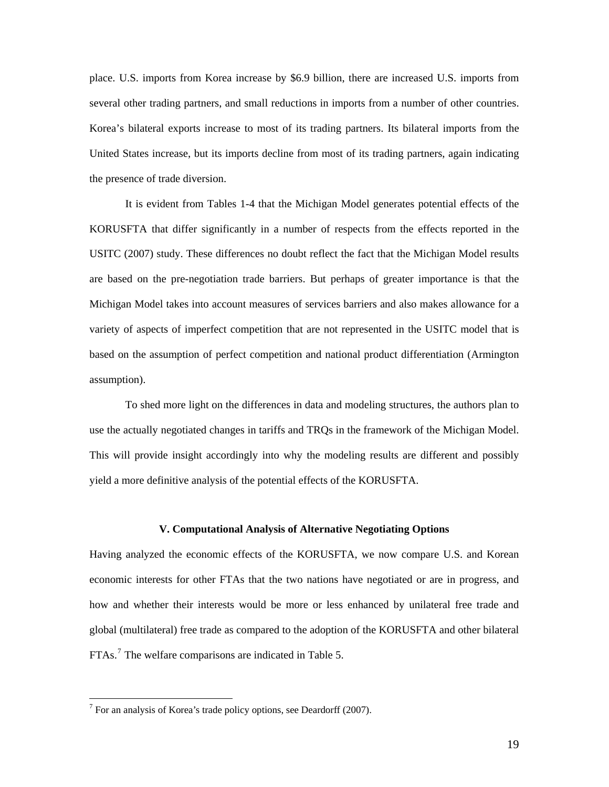place. U.S. imports from Korea increase by \$6.9 billion, there are increased U.S. imports from several other trading partners, and small reductions in imports from a number of other countries. Korea's bilateral exports increase to most of its trading partners. Its bilateral imports from the United States increase, but its imports decline from most of its trading partners, again indicating the presence of trade diversion.

 It is evident from Tables 1-4 that the Michigan Model generates potential effects of the KORUSFTA that differ significantly in a number of respects from the effects reported in the USITC (2007) study. These differences no doubt reflect the fact that the Michigan Model results are based on the pre-negotiation trade barriers. But perhaps of greater importance is that the Michigan Model takes into account measures of services barriers and also makes allowance for a variety of aspects of imperfect competition that are not represented in the USITC model that is based on the assumption of perfect competition and national product differentiation (Armington assumption).

 To shed more light on the differences in data and modeling structures, the authors plan to use the actually negotiated changes in tariffs and TRQs in the framework of the Michigan Model. This will provide insight accordingly into why the modeling results are different and possibly yield a more definitive analysis of the potential effects of the KORUSFTA.

#### **V. Computational Analysis of Alternative Negotiating Options**

Having analyzed the economic effects of the KORUSFTA, we now compare U.S. and Korean economic interests for other FTAs that the two nations have negotiated or are in progress, and how and whether their interests would be more or less enhanced by unilateral free trade and global (multilateral) free trade as compared to the adoption of the KORUSFTA and other bilateral FTAs.<sup>[7](#page-20-0)</sup> The welfare comparisons are indicated in Table 5.

 $\overline{a}$ 

<span id="page-20-0"></span> $7$  For an analysis of Korea's trade policy options, see Deardorff (2007).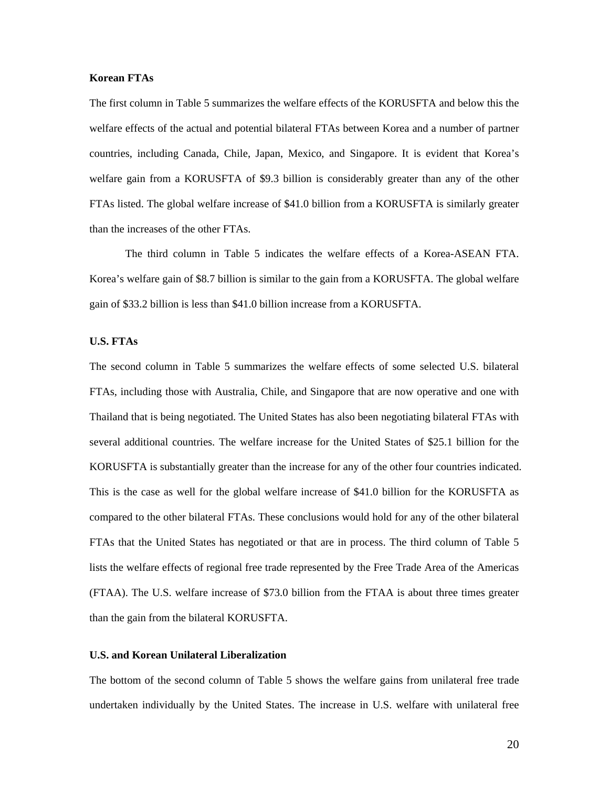#### **Korean FTAs**

The first column in Table 5 summarizes the welfare effects of the KORUSFTA and below this the welfare effects of the actual and potential bilateral FTAs between Korea and a number of partner countries, including Canada, Chile, Japan, Mexico, and Singapore. It is evident that Korea's welfare gain from a KORUSFTA of \$9.3 billion is considerably greater than any of the other FTAs listed. The global welfare increase of \$41.0 billion from a KORUSFTA is similarly greater than the increases of the other FTAs.

The third column in Table 5 indicates the welfare effects of a Korea-ASEAN FTA. Korea's welfare gain of \$8.7 billion is similar to the gain from a KORUSFTA. The global welfare gain of \$33.2 billion is less than \$41.0 billion increase from a KORUSFTA.

#### **U.S. FTAs**

The second column in Table 5 summarizes the welfare effects of some selected U.S. bilateral FTAs, including those with Australia, Chile, and Singapore that are now operative and one with Thailand that is being negotiated. The United States has also been negotiating bilateral FTAs with several additional countries. The welfare increase for the United States of \$25.1 billion for the KORUSFTA is substantially greater than the increase for any of the other four countries indicated. This is the case as well for the global welfare increase of \$41.0 billion for the KORUSFTA as compared to the other bilateral FTAs. These conclusions would hold for any of the other bilateral FTAs that the United States has negotiated or that are in process. The third column of Table 5 lists the welfare effects of regional free trade represented by the Free Trade Area of the Americas (FTAA). The U.S. welfare increase of \$73.0 billion from the FTAA is about three times greater than the gain from the bilateral KORUSFTA.

## **U.S. and Korean Unilateral Liberalization**

The bottom of the second column of Table 5 shows the welfare gains from unilateral free trade undertaken individually by the United States. The increase in U.S. welfare with unilateral free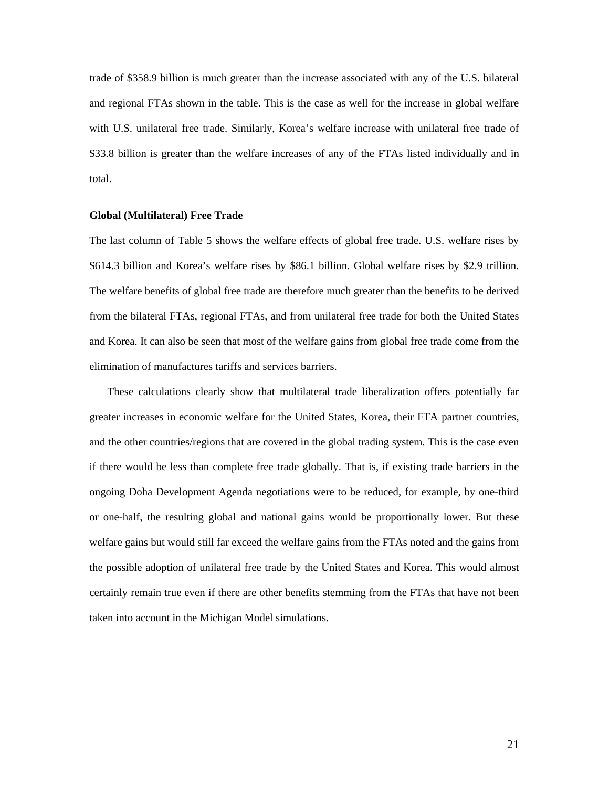trade of \$358.9 billion is much greater than the increase associated with any of the U.S. bilateral and regional FTAs shown in the table. This is the case as well for the increase in global welfare with U.S. unilateral free trade. Similarly, Korea's welfare increase with unilateral free trade of \$33.8 billion is greater than the welfare increases of any of the FTAs listed individually and in total.

#### **Global (Multilateral) Free Trade**

The last column of Table 5 shows the welfare effects of global free trade. U.S. welfare rises by \$614.3 billion and Korea's welfare rises by \$86.1 billion. Global welfare rises by \$2.9 trillion. The welfare benefits of global free trade are therefore much greater than the benefits to be derived from the bilateral FTAs, regional FTAs, and from unilateral free trade for both the United States and Korea. It can also be seen that most of the welfare gains from global free trade come from the elimination of manufactures tariffs and services barriers.

These calculations clearly show that multilateral trade liberalization offers potentially far greater increases in economic welfare for the United States, Korea, their FTA partner countries, and the other countries/regions that are covered in the global trading system. This is the case even if there would be less than complete free trade globally. That is, if existing trade barriers in the ongoing Doha Development Agenda negotiations were to be reduced, for example, by one-third or one-half, the resulting global and national gains would be proportionally lower. But these welfare gains but would still far exceed the welfare gains from the FTAs noted and the gains from the possible adoption of unilateral free trade by the United States and Korea. This would almost certainly remain true even if there are other benefits stemming from the FTAs that have not been taken into account in the Michigan Model simulations.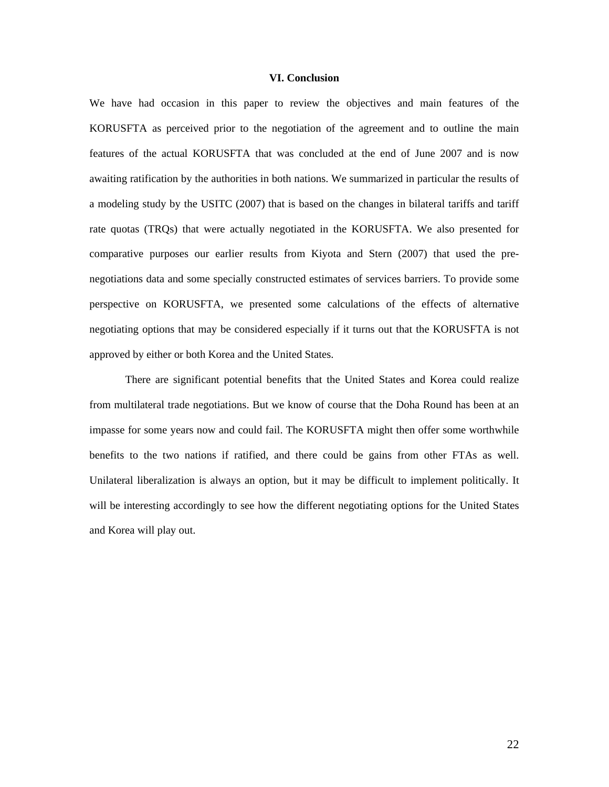#### **VI. Conclusion**

We have had occasion in this paper to review the objectives and main features of the KORUSFTA as perceived prior to the negotiation of the agreement and to outline the main features of the actual KORUSFTA that was concluded at the end of June 2007 and is now awaiting ratification by the authorities in both nations. We summarized in particular the results of a modeling study by the USITC (2007) that is based on the changes in bilateral tariffs and tariff rate quotas (TRQs) that were actually negotiated in the KORUSFTA. We also presented for comparative purposes our earlier results from Kiyota and Stern (2007) that used the prenegotiations data and some specially constructed estimates of services barriers. To provide some perspective on KORUSFTA, we presented some calculations of the effects of alternative negotiating options that may be considered especially if it turns out that the KORUSFTA is not approved by either or both Korea and the United States.

There are significant potential benefits that the United States and Korea could realize from multilateral trade negotiations. But we know of course that the Doha Round has been at an impasse for some years now and could fail. The KORUSFTA might then offer some worthwhile benefits to the two nations if ratified, and there could be gains from other FTAs as well. Unilateral liberalization is always an option, but it may be difficult to implement politically. It will be interesting accordingly to see how the different negotiating options for the United States and Korea will play out.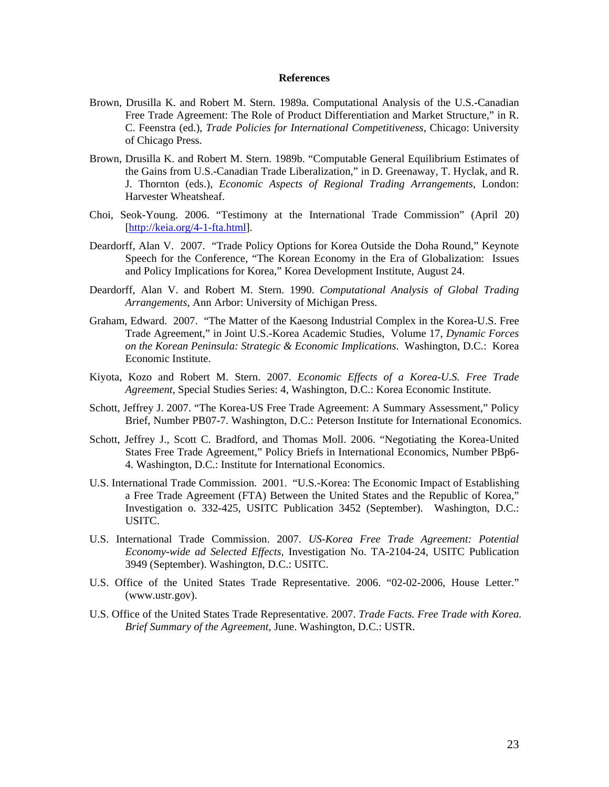#### **References**

- Brown, Drusilla K. and Robert M. Stern. 1989a. Computational Analysis of the U.S.-Canadian Free Trade Agreement: The Role of Product Differentiation and Market Structure," in R. C. Feenstra (ed.), *Trade Policies for International Competitiveness*, Chicago: University of Chicago Press.
- Brown, Drusilla K. and Robert M. Stern. 1989b. "Computable General Equilibrium Estimates of the Gains from U.S.-Canadian Trade Liberalization," in D. Greenaway, T. Hyclak, and R. J. Thornton (eds.), *Economic Aspects of Regional Trading Arrangements*, London: Harvester Wheatsheaf.
- Choi, Seok-Young. 2006. "Testimony at the International Trade Commission" (April 20) [[http://keia.org/4-1-fta.html\]](https://web.mail.umich.edu/horde/services/go.php?url=http%3A%2F%2Fkeia.org%2F4-1-fta.html).
- Deardorff, Alan V. 2007. "Trade Policy Options for Korea Outside the Doha Round," Keynote Speech for the Conference, "The Korean Economy in the Era of Globalization: Issues and Policy Implications for Korea," Korea Development Institute, August 24.
- Deardorff, Alan V. and Robert M. Stern. 1990. *Computational Analysis of Global Trading Arrangements*, Ann Arbor: University of Michigan Press.
- Graham, Edward. 2007. "The Matter of the Kaesong Industrial Complex in the Korea-U.S. Free Trade Agreement," in Joint U.S.-Korea Academic Studies, Volume 17, *Dynamic Forces on the Korean Peninsula: Strategic & Economic Implications*. Washington, D.C.: Korea Economic Institute.
- Kiyota, Kozo and Robert M. Stern. 2007. *Economic Effects of a Korea-U.S. Free Trade Agreement*, Special Studies Series: 4, Washington, D.C.: Korea Economic Institute.
- Schott, Jeffrey J. 2007. "The Korea-US Free Trade Agreement: A Summary Assessment," Policy Brief, Number PB07-7. Washington, D.C.: Peterson Institute for International Economics.
- Schott, Jeffrey J., Scott C. Bradford, and Thomas Moll. 2006. "Negotiating the Korea-United States Free Trade Agreement," Policy Briefs in International Economics, Number PBp6- 4. Washington, D.C.: Institute for International Economics.
- U.S. International Trade Commission. 2001. "U.S.-Korea: The Economic Impact of Establishing a Free Trade Agreement (FTA) Between the United States and the Republic of Korea," Investigation o. 332-425, USITC Publication 3452 (September). Washington, D.C.: USITC.
- U.S. International Trade Commission. 2007. *US-Korea Free Trade Agreement: Potential Economy-wide ad Selected Effects,* Investigation No. TA-2104-24, USITC Publication 3949 (September). Washington, D.C.: USITC.
- U.S. Office of the United States Trade Representative. 2006. "02-02-2006, House Letter." (www.ustr.gov).
- U.S. Office of the United States Trade Representative. 2007. *Trade Facts. Free Trade with Korea. Brief Summary of the Agreement*, June. Washington, D.C.: USTR.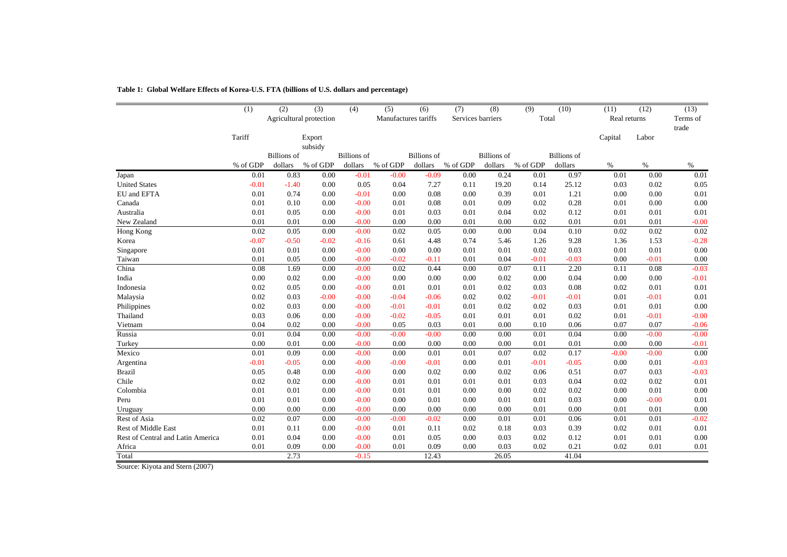|                                   | (1)      | (2)                | (3)                     | (4)                | (5)                  | (6)                | (7)               | (8)                | (9)      | (10)               | (11)         | (12)    | (13)              |
|-----------------------------------|----------|--------------------|-------------------------|--------------------|----------------------|--------------------|-------------------|--------------------|----------|--------------------|--------------|---------|-------------------|
|                                   |          |                    | Agricultural protection |                    | Manufactures tariffs |                    | Services barriers |                    | Total    |                    | Real returns |         | Terms of<br>trade |
|                                   | Tariff   |                    | Export<br>subsidy       |                    |                      |                    |                   |                    |          |                    | Capital      | Labor   |                   |
|                                   |          | <b>Billions</b> of |                         | <b>Billions</b> of |                      | <b>Billions</b> of |                   | <b>Billions</b> of |          | <b>Billions</b> of |              |         |                   |
|                                   | % of GDP | dollars            | % of GDP                | dollars            | $\%$ of GDP          | dollars            | % of GDP          | dollars            | % of GDP | dollars            | $\%$         | $\%$    | $\%$              |
| Japan                             | 0.01     | 0.83               | 0.00                    | $-0.01$            | $-0.00$              | $-0.09$            | 0.00              | 0.24               | 0.01     | 0.97               | 0.01         | 0.00    | 0.01              |
| <b>United States</b>              | $-0.01$  | $-1.40$            | 0.00                    | 0.05               | 0.04                 | 7.27               | 0.11              | 19.20              | 0.14     | 25.12              | 0.03         | 0.02    | 0.05              |
| EU and EFTA                       | 0.01     | 0.74               | 0.00                    | $-0.01$            | 0.00                 | 0.08               | 0.00              | 0.39               | 0.01     | 1.21               | 0.00         | 0.00    | 0.01              |
| Canada                            | 0.01     | 0.10               | 0.00                    | $-0.00$            | 0.01                 | 0.08               | 0.01              | 0.09               | 0.02     | 0.28               | 0.01         | 0.00    | 0.00              |
| Australia                         | 0.01     | 0.05               | 0.00                    | $-0.00$            | 0.01                 | 0.03               | 0.01              | 0.04               | 0.02     | 0.12               | 0.01         | 0.01    | 0.01              |
| New Zealand                       | 0.01     | 0.01               | 0.00                    | $-0.00$            | 0.00                 | 0.00               | 0.01              | 0.00               | 0.02     | 0.01               | 0.01         | 0.01    | $-0.00$           |
| Hong Kong                         | 0.02     | 0.05               | 0.00                    | $-0.00$            | 0.02                 | 0.05               | 0.00              | 0.00               | 0.04     | 0.10               | 0.02         | 0.02    | 0.02              |
| Korea                             | $-0.07$  | $-0.50$            | $-0.02$                 | $-0.16$            | 0.61                 | 4.48               | 0.74              | 5.46               | 1.26     | 9.28               | 1.36         | 1.53    | $-0.28$           |
| Singapore                         | 0.01     | 0.01               | 0.00                    | $-0.00$            | 0.00                 | 0.00               | 0.01              | 0.01               | 0.02     | 0.03               | 0.01         | 0.01    | 0.00              |
| Taiwan                            | 0.01     | 0.05               | 0.00                    | $-0.00$            | $-0.02$              | $-0.11$            | 0.01              | 0.04               | $-0.01$  | $-0.03$            | 0.00         | $-0.01$ | 0.00              |
| China                             | 0.08     | 1.69               | 0.00                    | $-0.00$            | 0.02                 | 0.44               | 0.00              | 0.07               | 0.11     | 2.20               | 0.11         | 0.08    | $-0.03$           |
| India                             | 0.00     | 0.02               | 0.00                    | $-0.00$            | 0.00                 | 0.00               | 0.00              | 0.02               | 0.00     | 0.04               | 0.00         | 0.00    | $-0.01$           |
| Indonesia                         | 0.02     | 0.05               | 0.00                    | $-0.00$            | 0.01                 | 0.01               | 0.01              | 0.02               | 0.03     | 0.08               | 0.02         | 0.01    | 0.01              |
| Malaysia                          | 0.02     | 0.03               | $-0.00$                 | $-0.00$            | $-0.04$              | $-0.06$            | 0.02              | 0.02               | $-0.01$  | $-0.01$            | 0.01         | $-0.01$ | 0.01              |
| Philippines                       | 0.02     | 0.03               | 0.00                    | $-0.00$            | $-0.01$              | $-0.01$            | 0.01              | 0.02               | 0.02     | 0.03               | 0.01         | 0.01    | 0.00              |
| Thailand                          | 0.03     | 0.06               | 0.00                    | $-0.00$            | $-0.02$              | $-0.05$            | 0.01              | 0.01               | 0.01     | 0.02               | 0.01         | $-0.01$ | $-0.00$           |
| Vietnam                           | 0.04     | 0.02               | 0.00                    | $-0.00$            | 0.05                 | 0.03               | 0.01              | 0.00               | 0.10     | 0.06               | 0.07         | 0.07    | $-0.06$           |
| Russia                            | 0.01     | 0.04               | 0.00                    | $-0.00$            | $-0.00$              | $-0.00$            | 0.00              | 0.00               | 0.01     | 0.04               | 0.00         | $-0.00$ | $-0.00$           |
| Turkey                            | 0.00     | 0.01               | 0.00                    | $-0.00$            | 0.00                 | 0.00               | 0.00              | 0.00               | 0.01     | 0.01               | 0.00         | 0.00    | $-0.01$           |
| Mexico                            | 0.01     | 0.09               | 0.00                    | $-0.00$            | 0.00                 | 0.01               | 0.01              | 0.07               | 0.02     | 0.17               | $-0.00$      | $-0.00$ | 0.00              |
| Argentina                         | $-0.01$  | $-0.05$            | 0.00                    | $-0.00$            | $-0.00$              | $-0.01$            | 0.00              | 0.01               | $-0.01$  | $-0.05$            | 0.00         | 0.01    | $-0.03$           |
| <b>Brazil</b>                     | 0.05     | 0.48               | 0.00                    | $-0.00$            | 0.00                 | 0.02               | 0.00              | 0.02               | 0.06     | 0.51               | 0.07         | 0.03    | $-0.03$           |
| Chile                             | 0.02     | 0.02               | 0.00                    | $-0.00$            | 0.01                 | 0.01               | 0.01              | 0.01               | 0.03     | 0.04               | 0.02         | 0.02    | 0.01              |
| Colombia                          | 0.01     | 0.01               | 0.00                    | $-0.00$            | 0.01                 | 0.01               | 0.00              | 0.00               | 0.02     | 0.02               | 0.00         | 0.01    | 0.00              |
| Peru                              | 0.01     | 0.01               | 0.00                    | $-0.00$            | 0.00                 | 0.01               | 0.00              | 0.01               | 0.01     | 0.03               | 0.00         | $-0.00$ | 0.01              |
| Uruguay                           | 0.00     | 0.00               | 0.00                    | $-0.00$            | 0.00                 | 0.00               | 0.00              | 0.00               | 0.01     | 0.00               | 0.01         | 0.01    | 0.00              |
| Rest of Asia                      | 0.02     | 0.07               | 0.00                    | $-0.00$            | $-0.00$              | $-0.02$            | 0.00              | 0.01               | 0.01     | 0.06               | 0.01         | 0.01    | $-0.02$           |
| <b>Rest of Middle East</b>        | 0.01     | 0.11               | 0.00                    | $-0.00$            | 0.01                 | 0.11               | 0.02              | 0.18               | 0.03     | 0.39               | 0.02         | 0.01    | 0.01              |
| Rest of Central and Latin America | 0.01     | 0.04               | 0.00                    | $-0.00$            | 0.01                 | 0.05               | 0.00              | 0.03               | 0.02     | 0.12               | 0.01         | 0.01    | 0.00              |
| Africa                            | 0.01     | 0.09               | 0.00                    | $-0.00$            | 0.01                 | 0.09               | 0.00              | 0.03               | 0.02     | 0.21               | 0.02         | 0.01    | 0.01              |
| Total                             |          | 2.73               |                         | $-0.15$            |                      | 12.43              |                   | 26.05              |          | 41.04              |              |         |                   |

**Table 1: Global Welfare Effects of Korea-U.S. FTA (billions of U.S. dollars and percentage)**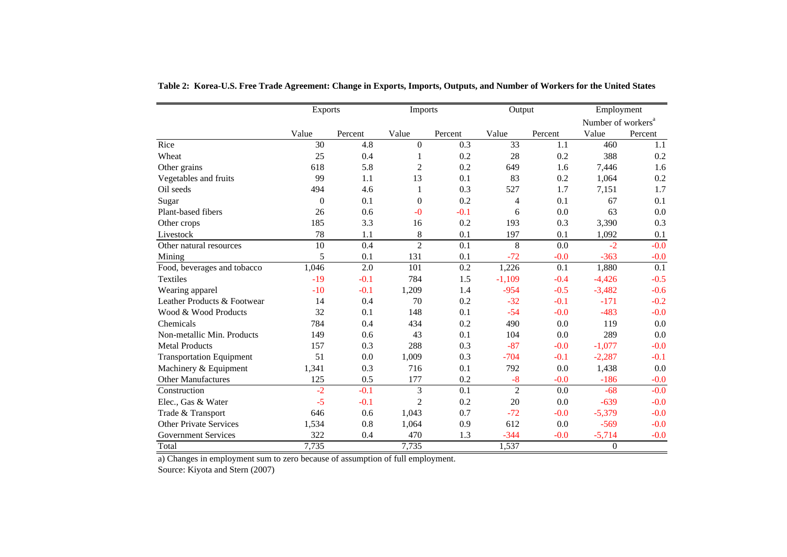|                                 | <b>Exports</b> |         | Imports        |         | Output         |         | Employment                     |         |
|---------------------------------|----------------|---------|----------------|---------|----------------|---------|--------------------------------|---------|
|                                 |                |         |                |         |                |         | Number of workers <sup>a</sup> |         |
|                                 | Value          | Percent | Value          | Percent | Value          | Percent | Value                          | Percent |
| Rice                            | 30             | 4.8     | $\theta$       | 0.3     | 33             | 1.1     | 460                            | 1.1     |
| Wheat                           | 25             | 0.4     | 1              | 0.2     | 28             | 0.2     | 388                            | 0.2     |
| Other grains                    | 618            | 5.8     | 2              | 0.2     | 649            | 1.6     | 7,446                          | 1.6     |
| Vegetables and fruits           | 99             | 1.1     | 13             | 0.1     | 83             | 0.2     | 1,064                          | 0.2     |
| Oil seeds                       | 494            | 4.6     | 1              | 0.3     | 527            | 1.7     | 7,151                          | 1.7     |
| Sugar                           | $\theta$       | 0.1     | $\mathbf{0}$   | 0.2     | $\overline{4}$ | 0.1     | 67                             | 0.1     |
| Plant-based fibers              | 26             | 0.6     | $-0$           | $-0.1$  | 6              | 0.0     | 63                             | 0.0     |
| Other crops                     | 185            | 3.3     | 16             | 0.2     | 193            | 0.3     | 3,390                          | 0.3     |
| Livestock                       | 78             | 1.1     | $8\,$          | 0.1     | 197            | 0.1     | 1,092                          | 0.1     |
| Other natural resources         | 10             | 0.4     | $\overline{2}$ | 0.1     | 8              | 0.0     | $-2$                           | $-0.0$  |
| Mining                          | 5              | 0.1     | 131            | 0.1     | $-72$          | $-0.0$  | $-363$                         | $-0.0$  |
| Food, beverages and tobacco     | 1,046          | 2.0     | 101            | 0.2     | 1,226          | 0.1     | 1,880                          | 0.1     |
| Textiles                        | $-19$          | $-0.1$  | 784            | 1.5     | $-1,109$       | $-0.4$  | $-4,426$                       | $-0.5$  |
| Wearing apparel                 | $-10$          | $-0.1$  | 1,209          | 1.4     | $-954$         | $-0.5$  | $-3,482$                       | $-0.6$  |
| Leather Products & Footwear     | 14             | 0.4     | 70             | 0.2     | $-32$          | $-0.1$  | $-171$                         | $-0.2$  |
| Wood & Wood Products            | 32             | 0.1     | 148            | 0.1     | $-54$          | $-0.0$  | $-483$                         | $-0.0$  |
| Chemicals                       | 784            | 0.4     | 434            | 0.2     | 490            | 0.0     | 119                            | 0.0     |
| Non-metallic Min. Products      | 149            | 0.6     | 43             | 0.1     | 104            | 0.0     | 289                            | 0.0     |
| <b>Metal Products</b>           | 157            | 0.3     | 288            | 0.3     | $-87$          | $-0.0$  | $-1,077$                       | $-0.0$  |
| <b>Transportation Equipment</b> | 51             | 0.0     | 1,009          | 0.3     | $-704$         | $-0.1$  | $-2,287$                       | $-0.1$  |
| Machinery & Equipment           | 1,341          | 0.3     | 716            | 0.1     | 792            | 0.0     | 1,438                          | 0.0     |
| <b>Other Manufactures</b>       | 125            | 0.5     | 177            | 0.2     | $-8$           | $-0.0$  | $-186$                         | $-0.0$  |
| Construction                    | $-2$           | $-0.1$  | 3              | 0.1     | $\overline{c}$ | 0.0     | $-68$                          | $-0.0$  |
| Elec., Gas & Water              | $-5$           | $-0.1$  | $\overline{c}$ | 0.2     | 20             | 0.0     | $-639$                         | $-0.0$  |
| Trade & Transport               | 646            | 0.6     | 1,043          | 0.7     | $-72$          | $-0.0$  | $-5,379$                       | $-0.0$  |
| <b>Other Private Services</b>   | 1,534          | 0.8     | 1,064          | 0.9     | 612            | 0.0     | $-569$                         | $-0.0$  |
| <b>Government Services</b>      | 322            | 0.4     | 470            | 1.3     | $-344$         | $-0.0$  | $-5,714$                       | $-0.0$  |
| Total                           | 7,735          |         | 7,735          |         | 1,537          |         | $\boldsymbol{0}$               |         |

**Table 2: Korea-U.S. Free Trade Agreement: Change in Exports, Imports, Outputs, and Number of Workers for the United States**

a) Changes in employment sum to zero because of assumption of full employment.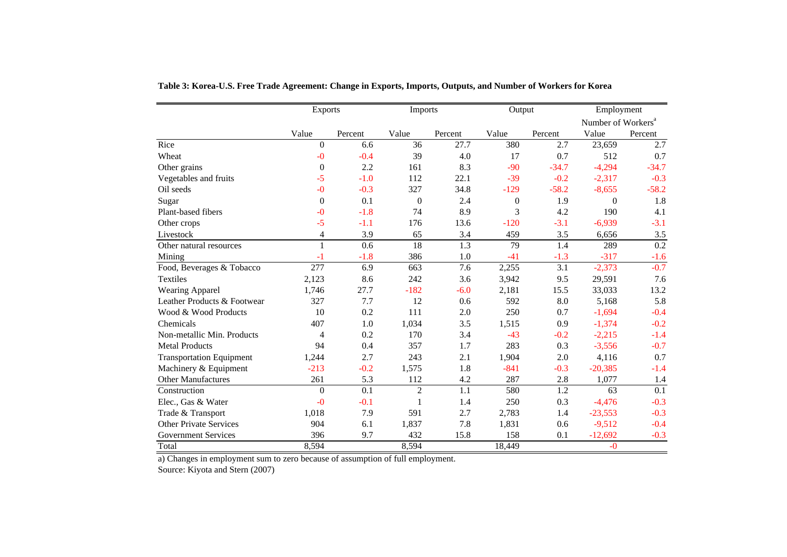|                                 | <b>Exports</b>   |         | Imports        |         | Output         |         | Employment                     |         |
|---------------------------------|------------------|---------|----------------|---------|----------------|---------|--------------------------------|---------|
|                                 |                  |         |                |         |                |         | Number of Workers <sup>a</sup> |         |
|                                 | Value            | Percent | Value          | Percent | Value          | Percent | Value                          | Percent |
| Rice                            | $\overline{0}$   | 6.6     | 36             | 27.7    | 380            | 2.7     | 23,659                         | 2.7     |
| Wheat                           | $-0$             | $-0.4$  | 39             | 4.0     | 17             | 0.7     | 512                            | 0.7     |
| Other grains                    | $\boldsymbol{0}$ | 2.2     | 161            | 8.3     | $-90$          | $-34.7$ | $-4,294$                       | $-34.7$ |
| Vegetables and fruits           | $-5$             | $-1.0$  | 112            | 22.1    | $-39$          | $-0.2$  | $-2,317$                       | $-0.3$  |
| Oil seeds                       | $-0$             | $-0.3$  | 327            | 34.8    | $-129$         | $-58.2$ | $-8,655$                       | $-58.2$ |
| Sugar                           | $\mathbf{0}$     | 0.1     | $\theta$       | 2.4     | $\overline{0}$ | 1.9     | $\theta$                       | 1.8     |
| Plant-based fibers              | $-0$             | $-1.8$  | 74             | 8.9     | 3              | 4.2     | 190                            | 4.1     |
| Other crops                     | $-5$             | $-1.1$  | 176            | 13.6    | $-120$         | $-3.1$  | $-6,939$                       | $-3.1$  |
| Livestock                       | $\overline{4}$   | 3.9     | 65             | 3.4     | 459            | 3.5     | 6,656                          | 3.5     |
| Other natural resources         | $\mathbf{1}$     | 0.6     | 18             | 1.3     | 79             | 1.4     | 289                            | 0.2     |
| Mining                          | $-1$             | $-1.8$  | 386            | 1.0     | $-41$          | $-1.3$  | $-317$                         | $-1.6$  |
| Food, Beverages & Tobacco       | 277              | 6.9     | 663            | 7.6     | 2,255          | 3.1     | $-2,373$                       | $-0.7$  |
| <b>Textiles</b>                 | 2,123            | 8.6     | 242            | 3.6     | 3,942          | 9.5     | 29,591                         | 7.6     |
| Wearing Apparel                 | 1,746            | 27.7    | $-182$         | $-6.0$  | 2,181          | 15.5    | 33,033                         | 13.2    |
| Leather Products & Footwear     | 327              | 7.7     | 12             | 0.6     | 592            | 8.0     | 5,168                          | 5.8     |
| Wood & Wood Products            | 10               | 0.2     | 111            | 2.0     | 250            | 0.7     | $-1,694$                       | $-0.4$  |
| Chemicals                       | 407              | 1.0     | 1,034          | 3.5     | 1,515          | 0.9     | $-1,374$                       | $-0.2$  |
| Non-metallic Min. Products      | $\overline{4}$   | 0.2     | 170            | 3.4     | $-43$          | $-0.2$  | $-2,215$                       | $-1.4$  |
| <b>Metal Products</b>           | 94               | 0.4     | 357            | 1.7     | 283            | 0.3     | $-3,556$                       | $-0.7$  |
| <b>Transportation Equipment</b> | 1,244            | 2.7     | 243            | 2.1     | 1,904          | 2.0     | 4,116                          | 0.7     |
| Machinery & Equipment           | $-213$           | $-0.2$  | 1,575          | 1.8     | $-841$         | $-0.3$  | $-20,385$                      | $-1.4$  |
| Other Manufactures              | 261              | 5.3     | 112            | 4.2     | 287            | 2.8     | 1,077                          | 1.4     |
| Construction                    | $\theta$         | 0.1     | $\overline{2}$ | 1.1     | 580            | 1.2     | 63                             | 0.1     |
| Elec., Gas & Water              | $-0$             | $-0.1$  | 1              | 1.4     | 250            | 0.3     | $-4,476$                       | $-0.3$  |
| Trade & Transport               | 1,018            | 7.9     | 591            | 2.7     | 2,783          | 1.4     | $-23,553$                      | $-0.3$  |
| <b>Other Private Services</b>   | 904              | 6.1     | 1,837          | 7.8     | 1,831          | 0.6     | $-9,512$                       | $-0.4$  |
| <b>Government Services</b>      | 396              | 9.7     | 432            | 15.8    | 158            | 0.1     | $-12,692$                      | $-0.3$  |
| Total                           | 8,594            |         | 8,594          |         | 18,449         |         | $-0$                           |         |

**Table 3: Korea-U.S. Free Trade Agreement: Change in Exports, Imports, Outputs, and Number of Workers for Korea**

a) Changes in employment sum to zero because of assumption of full employment.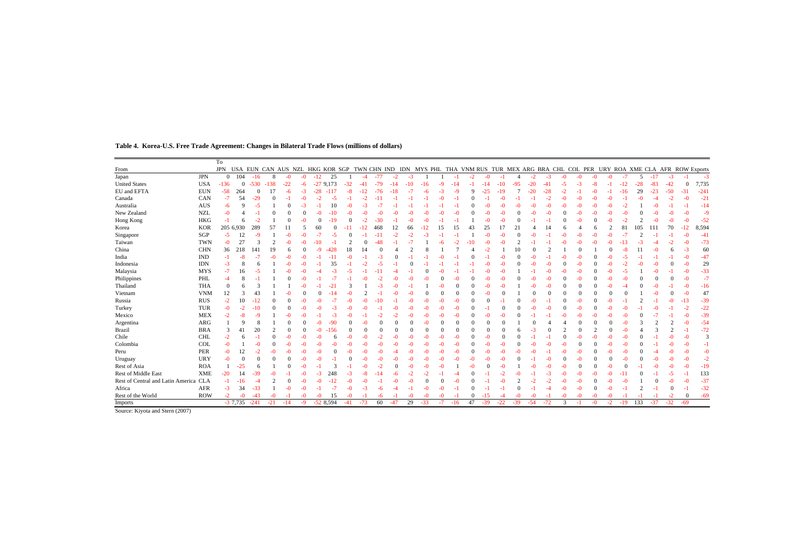|                                   |            | To           |           |        |        |       |      |      |            |       |       |       |       |       |       |      |          |      |       |       |       |          |       |      |      |      |      |       |                |       |          |                |                                                                                                                                 |
|-----------------------------------|------------|--------------|-----------|--------|--------|-------|------|------|------------|-------|-------|-------|-------|-------|-------|------|----------|------|-------|-------|-------|----------|-------|------|------|------|------|-------|----------------|-------|----------|----------------|---------------------------------------------------------------------------------------------------------------------------------|
| From                              |            | <b>JPN</b>   |           |        |        |       |      |      |            |       |       |       |       |       |       |      |          |      |       |       |       |          |       |      |      |      |      |       |                |       |          |                | USA EUN CAN AUS NZL HKG KOR SGP TWN CHN IND IDN MYS PHL THA VNM RUS TUR MEX ARG BRA CHL COL PER URY ROA XME CLA AFR ROW Exports |
| Japan                             | JPN        | $\theta$     | 104       | $-16$  | 8      | $-0$  | $-0$ | -12  | 25         |       | -4    | $-77$ | $-2$  | $-3$  |       |      |          | $-2$ | $-0$  |       |       | $-2$     | $-3$  | $-0$ | $-0$ | $-0$ | $-0$ | $-7$  | 5              | $-17$ | $-3$     |                | $-3$                                                                                                                            |
| <b>United States</b>              | <b>USA</b> | $-136$       | $\theta$  | -530   | $-138$ | $-22$ | -6   |      | $-279.173$ | $-32$ |       |       |       | $-10$ |       |      |          |      |       |       | -95   |          |       |      |      |      |      |       | $-28$          | -83   | $-42$    |                | 7,735                                                                                                                           |
| EU and EFTA                       | <b>EUN</b> | $-58$        | 264       |        |        |       |      |      |            |       |       |       |       |       |       |      |          |      |       |       |       |          |       |      |      |      |      |       | 29             |       | -50      |                | $-241$                                                                                                                          |
| Canada                            | CAN        | $-7$         | 54        | -29    |        |       |      |      |            |       |       |       |       |       |       |      |          |      |       |       |       |          |       |      |      |      |      |       |                |       |          |                | $-21$                                                                                                                           |
| Australia                         | AUS        | $-6$         |           |        |        |       |      |      |            |       |       |       |       |       |       |      |          |      |       |       |       |          |       |      |      |      |      |       |                |       |          |                | $-14$                                                                                                                           |
| New Zealand                       | <b>NZL</b> | $-0$         |           |        |        |       |      |      |            |       |       |       |       |       |       |      |          |      |       |       |       |          |       |      |      |      |      |       |                |       |          |                | $-9$                                                                                                                            |
| Hong Kong                         | <b>HKG</b> | -1           |           |        |        |       |      |      |            |       |       |       |       |       |       |      |          |      |       |       |       |          |       |      |      |      |      |       |                |       |          |                | $-52$                                                                                                                           |
| Korea                             | <b>KOR</b> |              | 205 6,930 | 289    |        |       |      |      |            |       |       | 468   | 12    |       |       | 15   |          |      | 25    |       |       |          |       |      |      |      |      |       |                |       | 70       |                | 8,594                                                                                                                           |
| Singapore                         | SGP        | $-5$         | 12        |        |        |       |      |      |            |       |       |       |       |       |       |      |          |      |       |       |       |          |       |      |      |      |      |       |                |       |          |                | $-41$                                                                                                                           |
| Taiwan                            | <b>TWN</b> | $-0$         | 27        |        |        |       |      |      |            |       |       |       |       |       |       |      |          |      |       |       |       |          |       |      |      |      |      |       |                |       |          |                | $-73$                                                                                                                           |
| China                             | <b>CHN</b> | 36           | 218       | 141    | 19     |       |      |      |            | 18    |       |       |       |       |       |      |          |      |       |       |       |          |       |      |      |      |      |       |                |       |          | -3             | 60                                                                                                                              |
| India                             | <b>IND</b> | $^{-1}$      | -8        | $-7$   |        |       |      |      |            |       |       |       |       |       |       |      |          |      |       |       |       |          |       |      |      |      |      |       |                |       |          | $-$            | $-47$                                                                                                                           |
| Indonesia                         | <b>IDN</b> | $-3$         |           |        |        |       |      |      | 35         |       |       |       |       |       |       |      |          |      |       |       |       |          |       |      |      |      |      |       |                |       |          | -0             | 29                                                                                                                              |
| Malaysia                          | <b>MYS</b> | $-7$         | 16        |        |        |       |      |      |            |       |       |       |       |       |       |      |          |      |       |       |       |          |       |      |      |      |      |       |                |       |          | -0             | $-33$                                                                                                                           |
| Philippines                       | PHL        | $-4$         |           |        |        |       |      |      |            |       |       |       |       |       |       |      |          |      |       |       |       |          |       |      |      |      |      |       |                |       |          | -0             | $-7$                                                                                                                            |
| Thailand                          | <b>THA</b> | $\mathbf{0}$ |           |        |        |       |      |      |            |       |       |       |       |       |       |      |          |      |       |       |       |          |       |      |      |      |      |       |                |       |          |                | $-16$                                                                                                                           |
| Vietnam                           | <b>VNM</b> | 12           |           | 43     |        |       |      |      |            |       |       |       |       |       |       |      |          |      |       |       |       |          |       |      |      |      |      |       |                |       |          |                | 47                                                                                                                              |
| Russia                            | <b>RUS</b> | $-2$         | 10        | $-12$  |        |       |      |      |            |       |       |       |       |       |       |      |          |      |       |       |       |          |       |      |      |      |      |       |                |       | $-0$     |                | $-39$                                                                                                                           |
| Turkey                            | TUR        | $-0$         |           |        |        |       |      |      |            |       |       |       |       |       |       |      |          |      |       |       |       |          |       |      |      |      |      |       |                |       |          | -2             | $-22$                                                                                                                           |
| Mexico                            | <b>MEX</b> | $-2$         |           |        |        |       |      |      | -3         |       |       |       |       |       |       |      |          |      |       |       |       |          |       |      |      |      |      |       |                |       |          | -0             | $-39$                                                                                                                           |
| Argentina                         | ARG        |              |           |        |        |       |      |      |            |       |       |       |       |       |       |      | $\Omega$ |      |       |       |       |          |       |      |      |      |      |       |                |       | ി        | -0             | $-54$                                                                                                                           |
| Brazil                            | <b>BRA</b> | 3            |           | 20     |        |       |      |      |            |       |       |       |       |       |       |      | $\Omega$ |      |       |       |       |          |       |      |      |      |      |       |                |       |          |                | $-72$                                                                                                                           |
| Chile                             | <b>CHL</b> | $-2$         |           |        |        |       |      |      |            |       |       |       |       |       |       |      |          |      |       |       |       |          |       |      |      |      |      |       |                |       |          | $-0$           | 3                                                                                                                               |
| Colombia                          | COL        | $-0$         |           |        |        |       |      |      |            |       |       |       |       |       |       |      |          |      |       |       |       |          |       |      |      |      |      |       |                |       |          | -0             | $-1$                                                                                                                            |
| Peru                              | <b>PER</b> | $-0$         | 12        | -2     |        |       |      |      |            |       |       |       |       |       |       |      |          |      |       |       |       |          |       |      |      |      |      |       |                |       |          | -0             | $-0$                                                                                                                            |
| Uruguay                           | URY        | -0           |           |        |        |       |      |      |            |       |       |       |       |       |       |      |          |      |       |       |       |          |       |      |      |      |      |       |                |       | $-0$     | -0             | $-2$                                                                                                                            |
| Rest of Asia                      | <b>ROA</b> |              | 25        |        |        |       |      |      |            |       |       |       |       |       |       |      |          |      |       |       |       |          |       |      |      |      |      |       |                |       |          |                | $-19$                                                                                                                           |
| <b>Rest of Middle East</b>        | <b>XME</b> | $-20$        | 14        |        |        |       |      |      |            |       |       |       |       |       |       |      |          |      |       |       |       |          |       |      |      |      |      |       |                |       | -5       |                | 133                                                                                                                             |
| Rest of Central and Latin America | <b>CLA</b> |              |           |        |        |       |      |      |            |       |       |       |       |       |       |      |          |      |       |       |       |          |       |      |      |      |      |       |                |       |          |                | $-37$                                                                                                                           |
| Africa                            | AFR        | $-3$         | 34        | $-33$  |        |       | -0   |      | $-7$       | $-0$  | $-3$  | -6    |       |       | -0    | -0   |          |      |       |       |       |          |       |      | -0   |      |      |       | $\overline{c}$ |       | $\Omega$ |                | $-32$                                                                                                                           |
| Rest of the World                 | <b>ROW</b> | $-2$         | $-0$      | $-43$  |        |       |      | $-0$ | 15         | $-0$  |       | -6    |       | -0    | -0    | $-0$ |          |      | $-15$ | $-4$  | $-0$  | $\Omega$ |       | -0   | -0   |      | -0   |       |                |       | $-2$     | $\overline{0}$ | $-69$                                                                                                                           |
| Imports                           |            |              | $-37,735$ | $-241$ | $-21$  | $-14$ | $-9$ |      | $-528,594$ | $-41$ | $-73$ | 60    | $-47$ | 29    | $-33$ | $-7$ | $-16$    | 47   | $-39$ | $-22$ | $-39$ | $-54$    | $-72$ | 3    | ×.   | $-0$ | $-2$ | $-19$ | 133            | $-37$ | $-32$    | $-69$          |                                                                                                                                 |

**Table 4. Korea-U.S. Free Trade Agreement: Changes in Bilateral Trade Flows (millions of dollars)**

Source: Kiyota and Stern (2007)

 $\sim$